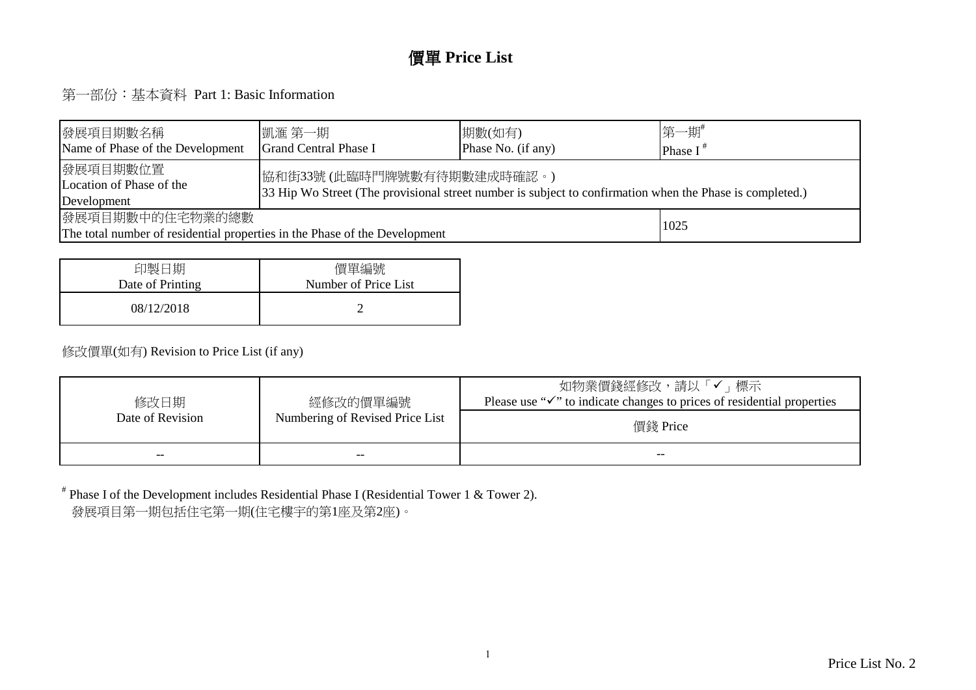#### 價單 **Price List**

第一部份:基本資料 Part 1: Basic Information

| 發展項目期數名稱 <br>Name of Phase of the Development                                                                                                                                                  | 凱滙 第一期 <br><b>Grand Central Phase I</b> | 期數(如有)<br>Phase No. (if any) | 第一期#<br>Phase $I^*$ |  |  |  |  |  |  |  |
|------------------------------------------------------------------------------------------------------------------------------------------------------------------------------------------------|-----------------------------------------|------------------------------|---------------------|--|--|--|--|--|--|--|
| 發展項目期數位置 <br> 協和街33號(此臨時門牌號數有待期數建成時確認。)<br>Location of Phase of the<br>33 Hip Wo Street (The provisional street number is subject to confirmation when the Phase is completed.)<br>Development |                                         |                              |                     |  |  |  |  |  |  |  |
| 發展項目期數中的住宅物業的總數<br>1025<br>The total number of residential properties in the Phase of the Development                                                                                          |                                         |                              |                     |  |  |  |  |  |  |  |

| 印製日期             | 價單編號                 |
|------------------|----------------------|
| Date of Printing | Number of Price List |
| 08/12/2018       |                      |

#### 修改價單(如有) Revision to Price List (if any)

| 修改日期             | 經修改的價單編號                        | 如物業價錢經修改,請以「✔」標示<br>Please use " $\checkmark$ " to indicate changes to prices of residential properties |
|------------------|---------------------------------|---------------------------------------------------------------------------------------------------------|
| Date of Revision | Numbering of Revised Price List | 價錢 Price                                                                                                |
| $- -$            | --                              | --                                                                                                      |

# Phase I of the Development includes Residential Phase I (Residential Tower 1 & Tower 2).發展項目第一期包括住宅第一期(住宅樓宇的第1座及第2座)。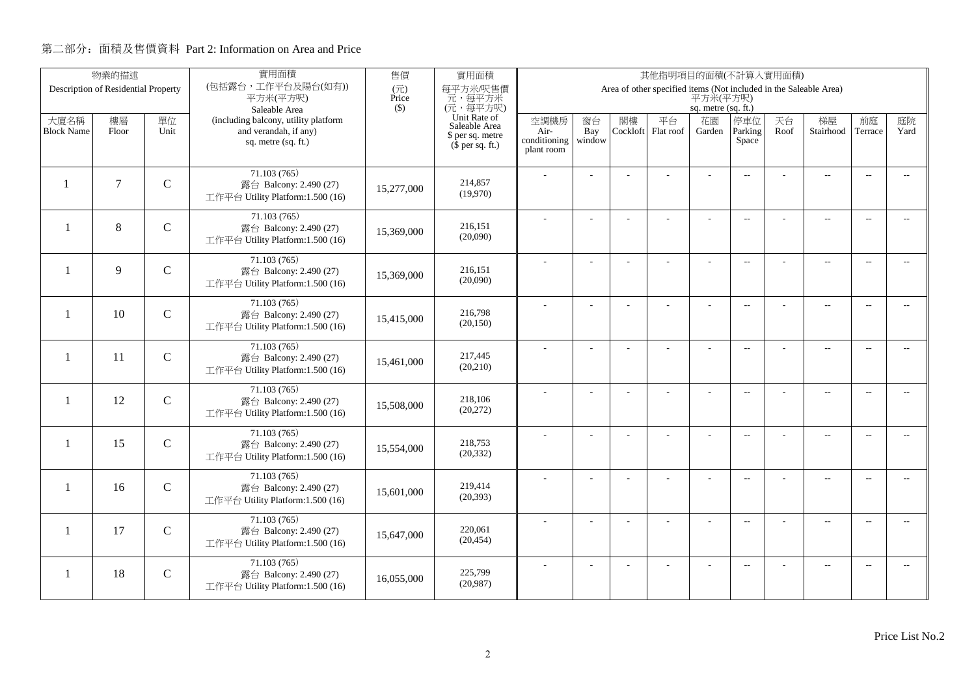|                          | 物業的描述                               |               | 實用面積                                                       | 售價           | 實用面積<br>其他指明項目的面積(不計算入實用面積)   |                      |                |          |                                                                   |                     |                          |      |                          |                          |                          |
|--------------------------|-------------------------------------|---------------|------------------------------------------------------------|--------------|-------------------------------|----------------------|----------------|----------|-------------------------------------------------------------------|---------------------|--------------------------|------|--------------------------|--------------------------|--------------------------|
|                          | Description of Residential Property |               | (包括露台,工作平台及陽台(如有))<br>平方米(平方呎)                             | (元)<br>Price | 每平方米/呎售價<br>元,每平方米            |                      |                |          | Area of other specified items (Not included in the Saleable Area) | 平方米(平方呎)            |                          |      |                          |                          |                          |
|                          |                                     |               | Saleable Area                                              | $($ \$)      | (元,每平方呎)                      |                      |                |          |                                                                   | sq. metre (sq. ft.) |                          |      |                          |                          |                          |
| 大廈名稱                     | 樓層                                  | 單位            | (including balcony, utility platform                       |              | Unit Rate of<br>Saleable Area | 空調機房                 | 窗台             | 閣樓       | 平台                                                                | 花園                  | 停車位                      | 天台   | 梯屋                       | 前庭                       | 庭院                       |
| <b>Block Name</b>        | Floor                               | Unit          | and verandah, if any)<br>sq. metre (sq. ft.)               |              | \$ per sq. metre              | Air-<br>conditioning | Bay<br>window  | Cockloft | Flat roof                                                         | Garden              | Parking<br>Space         | Roof | Stairhood                | Terrace                  | Yard                     |
|                          |                                     |               |                                                            |              | $$$ per sq. ft.)              | plant room           |                |          |                                                                   |                     |                          |      |                          |                          |                          |
|                          |                                     |               | 71.103(765)                                                |              |                               |                      |                |          |                                                                   |                     | $\overline{a}$           |      | $\overline{\phantom{a}}$ | $\overline{\phantom{a}}$ |                          |
| $\mathbf{1}$             | $\tau$                              | $\mathcal{C}$ | 露台 Balcony: 2.490 (27)                                     | 15,277,000   | 214,857<br>(19,970)           |                      |                |          |                                                                   |                     |                          |      |                          |                          |                          |
|                          |                                     |               | 工作平台 Utility Platform:1.500 (16)                           |              |                               |                      |                |          |                                                                   |                     |                          |      |                          |                          |                          |
|                          | 8                                   |               | 71.103 (765)                                               |              | 216,151                       |                      |                |          | ÷.                                                                | ÷                   | $\overline{a}$           |      | $\overline{\phantom{a}}$ | $\sim$                   |                          |
| $\mathbf{1}$             |                                     | $\mathbf C$   | 露台 Balcony: 2.490 (27)<br>工作平台 Utility Platform:1.500 (16) | 15,369,000   | (20,090)                      |                      |                |          |                                                                   |                     |                          |      |                          |                          |                          |
|                          |                                     |               |                                                            |              |                               |                      |                |          |                                                                   |                     |                          |      |                          |                          |                          |
| $\overline{\phantom{a}}$ | $\mathbf{Q}$                        | $\mathcal{C}$ | 71.103 (765)<br>露台 Balcony: 2.490 (27)                     |              | 216,151                       |                      | L.             |          |                                                                   | L,                  | $\overline{a}$           |      | $\overline{\phantom{a}}$ | $\sim$                   | $\overline{a}$           |
|                          |                                     |               | 工作平台 Utility Platform:1.500 (16)                           | 15,369,000   | (20,090)                      |                      |                |          |                                                                   |                     |                          |      |                          |                          |                          |
|                          |                                     |               | 71.103 (765)                                               |              |                               |                      |                |          |                                                                   | $\overline{a}$      | $\mathbf{L}$             |      | $\overline{\phantom{a}}$ | $\overline{\phantom{a}}$ | $\overline{a}$           |
| $\mathbf{1}$             | 10                                  | $\mathsf{C}$  | 露台 Balcony: 2.490 (27)                                     | 15,415,000   | 216,798<br>(20, 150)          |                      |                |          |                                                                   |                     |                          |      |                          |                          |                          |
|                          |                                     |               | 工作平台 Utility Platform:1.500 (16)                           |              |                               |                      |                |          |                                                                   |                     |                          |      |                          |                          |                          |
| $\mathbf{1}$             | 11                                  | $\mathbf C$   | 71.103 (765)                                               |              | 217,445                       |                      |                |          |                                                                   |                     | $\sim$                   |      | $\overline{\phantom{a}}$ | $\sim$                   | $\sim$                   |
|                          |                                     |               | 露台 Balcony: 2.490 (27)<br>工作平台 Utility Platform:1.500 (16) | 15,461,000   | (20, 210)                     |                      |                |          |                                                                   |                     |                          |      |                          |                          |                          |
|                          |                                     |               | 71.103(765)                                                |              |                               |                      |                |          |                                                                   |                     |                          |      |                          |                          |                          |
| $\mathbf{1}$             | 12                                  | $\mathbf C$   | 露台 Balcony: 2.490 (27)                                     | 15,508,000   | 218,106                       |                      | $\overline{a}$ |          |                                                                   | ÷,                  | $\overline{\phantom{m}}$ |      | $\overline{\phantom{m}}$ | $\overline{\phantom{a}}$ | $- -$                    |
|                          |                                     |               | 工作平台 Utility Platform:1.500 (16)                           |              | (20,272)                      |                      |                |          |                                                                   |                     |                          |      |                          |                          |                          |
|                          |                                     |               | 71.103 (765)                                               |              |                               |                      | ÷              |          |                                                                   | $\overline{a}$      | $\overline{a}$           |      | $\overline{a}$           | $\overline{\phantom{a}}$ | $- -$                    |
| $\mathbf{1}$             | 15                                  | $\mathbf C$   | 露台 Balcony: 2.490 (27)                                     | 15,554,000   | 218,753<br>(20, 332)          |                      |                |          |                                                                   |                     |                          |      |                          |                          |                          |
|                          |                                     |               | 工作平台 Utility Platform:1.500 (16)                           |              |                               |                      |                |          |                                                                   |                     |                          |      |                          |                          |                          |
| $\mathbf{1}$             | 16                                  | $\mathbf C$   | 71.103(765)<br>露台 Balcony: 2.490 (27)                      |              | 219,414                       |                      | L.             |          | L,                                                                | L,                  | $\overline{\phantom{a}}$ |      | $\overline{\phantom{a}}$ | $\sim$                   | $\overline{a}$           |
|                          |                                     |               | 工作平台 Utility Platform:1.500 (16)                           | 15,601,000   | (20, 393)                     |                      |                |          |                                                                   |                     |                          |      |                          |                          |                          |
|                          |                                     |               | 71.103 (765)                                               |              |                               |                      |                |          |                                                                   |                     |                          |      |                          |                          |                          |
| 1                        | 17                                  | $\mathbf C$   | 露台 Balcony: 2.490 (27)                                     | 15,647,000   | 220,061                       |                      |                |          | L,                                                                | ÷,                  | $\overline{\phantom{m}}$ |      | $\overline{\phantom{a}}$ | $\sim$                   | $- -$                    |
|                          |                                     |               | 工作平台 Utility Platform:1.500 (16)                           |              | (20, 454)                     |                      |                |          |                                                                   |                     |                          |      |                          |                          |                          |
|                          |                                     |               | 71.103(765)                                                |              |                               |                      |                |          |                                                                   |                     | $\overline{\phantom{a}}$ |      | $\overline{\phantom{m}}$ | $\overline{a}$           | $\overline{\phantom{a}}$ |
| -1                       | 18                                  | $\mathbf C$   | 露台 Balcony: 2.490 (27)<br>工作平台 Utility Platform:1.500 (16) | 16.055.000   | 225,799<br>(20,987)           |                      |                |          |                                                                   |                     |                          |      |                          |                          |                          |
|                          |                                     |               |                                                            |              |                               |                      |                |          |                                                                   |                     |                          |      |                          |                          |                          |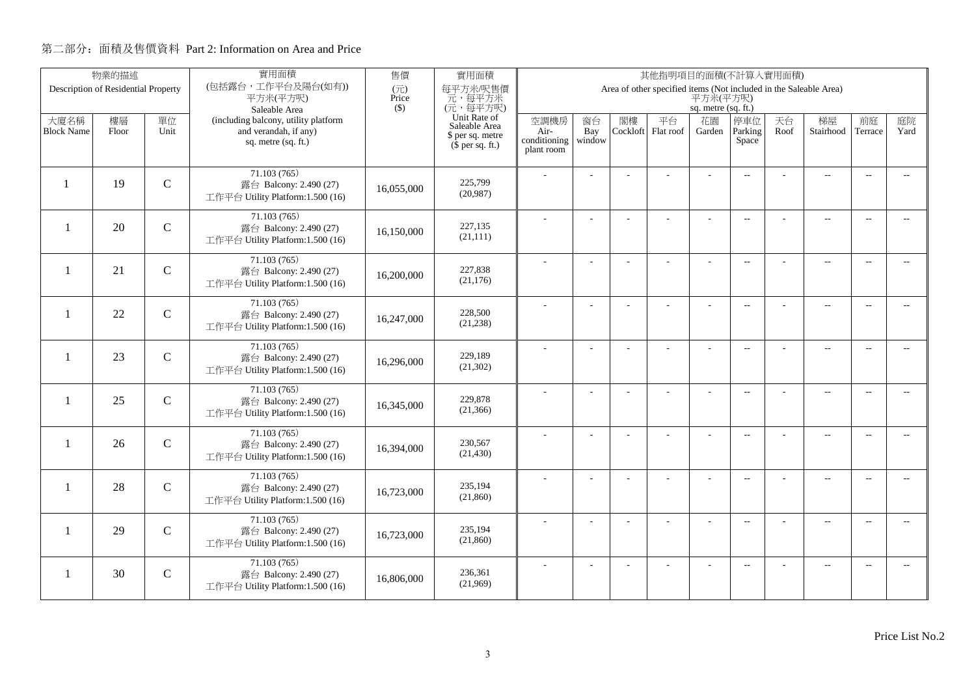|                          | 物業的描述                               |               | 實用面積                                                       | 售價                                | 實用面積<br>其他指明項目的面積(不計算入實用面積)   |                      |                |          |                                                                   |                     |                          |      |                          |                          |                          |
|--------------------------|-------------------------------------|---------------|------------------------------------------------------------|-----------------------------------|-------------------------------|----------------------|----------------|----------|-------------------------------------------------------------------|---------------------|--------------------------|------|--------------------------|--------------------------|--------------------------|
|                          | Description of Residential Property |               | (包括露台,工作平台及陽台(如有))<br>平方米(平方呎)                             | $(\overrightarrow{\pi})$<br>Price | 每平方米/呎售價<br>元,每平方米            |                      |                |          | Area of other specified items (Not included in the Saleable Area) | 平方米(平方呎)            |                          |      |                          |                          |                          |
|                          |                                     |               | Saleable Area                                              | $($ \$)                           | (元,每平方呎)                      |                      |                |          |                                                                   | sq. metre (sq. ft.) |                          |      |                          |                          |                          |
| 大廈名稱                     | 樓層                                  | 單位            | (including balcony, utility platform                       |                                   | Unit Rate of<br>Saleable Area | 空調機房                 | 窗台             | 閣樓       | 平台                                                                | 花園                  | 停車位                      | 天台   | 梯屋                       | 前庭                       | 庭院                       |
| <b>Block Name</b>        | Floor                               | Unit          | and verandah, if any)<br>sq. metre (sq. ft.)               |                                   | \$ per sq. metre              | Air-<br>conditioning | Bay<br>window  | Cockloft | Flat roof                                                         | Garden              | Parking<br>Space         | Roof | Stairhood                | Terrace                  | Yard                     |
|                          |                                     |               |                                                            |                                   | $(\bar{\S}$ per sq. ft.)      | plant room           |                |          |                                                                   |                     |                          |      |                          |                          |                          |
|                          |                                     |               | 71.103(765)                                                |                                   |                               |                      |                |          |                                                                   |                     |                          |      |                          |                          |                          |
|                          | 19                                  | $\mathbf C$   | 露台 Balcony: 2.490 (27)                                     | 16.055.000                        | 225,799                       |                      |                |          |                                                                   |                     | $\overline{a}$           |      | $\overline{\phantom{a}}$ | $\sim$                   |                          |
|                          |                                     |               | 工作平台 Utility Platform:1.500 (16)                           |                                   | (20,987)                      |                      |                |          |                                                                   |                     |                          |      |                          |                          |                          |
|                          |                                     |               | 71.103(765)                                                |                                   |                               |                      |                |          |                                                                   |                     | $\overline{\phantom{a}}$ |      | $\overline{\phantom{a}}$ | $\sim$                   |                          |
| $\overline{\phantom{a}}$ | 20                                  | $\mathcal{C}$ | 露台 Balcony: 2.490 (27)                                     | 16,150,000                        | 227,135                       |                      |                |          |                                                                   |                     |                          |      |                          |                          |                          |
|                          |                                     |               | 工作平台 Utility Platform:1.500 (16)                           |                                   | (21, 111)                     |                      |                |          |                                                                   |                     |                          |      |                          |                          |                          |
|                          |                                     |               | 71.103 (765)                                               |                                   |                               |                      | $\overline{a}$ |          | L.                                                                | ÷                   | $\overline{\phantom{a}}$ |      | $\overline{a}$           | $\overline{\phantom{a}}$ | $-$                      |
| $\mathbf{1}$             | 21                                  | $\mathbf C$   | 露台 Balcony: 2.490 (27)                                     | 16,200,000                        | 227,838<br>(21, 176)          |                      |                |          |                                                                   |                     |                          |      |                          |                          |                          |
|                          |                                     |               | 工作平台 Utility Platform:1.500 (16)                           |                                   |                               |                      |                |          |                                                                   |                     |                          |      |                          |                          |                          |
|                          |                                     |               | 71.103 (765)                                               |                                   |                               |                      |                |          |                                                                   | L,                  | $\overline{a}$           |      | $\overline{\phantom{a}}$ | $\overline{\phantom{a}}$ | $- -$                    |
| -1                       | 22                                  | $\mathbf C$   | 露台 Balcony: 2.490 (27)<br>工作平台 Utility Platform:1.500 (16) | 16,247,000                        | 228,500<br>(21, 238)          |                      |                |          |                                                                   |                     |                          |      |                          |                          |                          |
|                          |                                     |               |                                                            |                                   |                               |                      |                |          |                                                                   |                     |                          |      |                          |                          |                          |
| -1                       | 23                                  | $\mathsf{C}$  | 71.103 (765)<br>露台 Balcony: 2.490 (27)                     |                                   | 229,189                       |                      |                |          |                                                                   | ÷.                  | $\overline{\phantom{a}}$ |      | $\overline{a}$           | $\overline{\phantom{a}}$ | $- -$                    |
|                          |                                     |               | 工作平台 Utility Platform:1.500 (16)                           | 16,296,000                        | (21, 302)                     |                      |                |          |                                                                   |                     |                          |      |                          |                          |                          |
|                          |                                     |               |                                                            |                                   |                               |                      |                |          |                                                                   |                     |                          |      |                          |                          |                          |
| $\mathbf{1}$             | 25                                  | $\mathsf{C}$  | 71.103 (765)<br>露台 Balcony: 2.490 (27)                     |                                   | 229,878                       |                      | $\overline{a}$ |          |                                                                   | ÷,                  | $\overline{\phantom{a}}$ |      | $\overline{a}$           | $\sim$                   | $- -$                    |
|                          |                                     |               | 工作平台 Utility Platform:1.500 (16)                           | 16,345,000                        | (21, 366)                     |                      |                |          |                                                                   |                     |                          |      |                          |                          |                          |
|                          |                                     |               | 71.103 (765)                                               |                                   |                               |                      | L.             |          |                                                                   | L,                  | $\overline{\phantom{a}}$ |      | $\overline{a}$           | $\overline{a}$           | $\overline{\phantom{a}}$ |
| $\mathbf{1}$             | 26                                  | $\mathbf C$   | 露台 Balcony: 2.490 (27)                                     | 16.394,000                        | 230,567                       |                      |                |          |                                                                   |                     |                          |      |                          |                          |                          |
|                          |                                     |               | 工作平台 Utility Platform:1.500 (16)                           |                                   | (21, 430)                     |                      |                |          |                                                                   |                     |                          |      |                          |                          |                          |
|                          |                                     |               | 71.103(765)                                                |                                   |                               |                      | $\overline{a}$ |          | ÷,                                                                | ÷,                  | $\overline{\phantom{a}}$ |      | $\overline{\phantom{a}}$ | $\sim$                   | $- -$                    |
| -1                       | 28                                  | $\mathsf{C}$  | 露台 Balcony: 2.490 (27)                                     | 16,723,000                        | 235.194<br>(21, 860)          |                      |                |          |                                                                   |                     |                          |      |                          |                          |                          |
|                          |                                     |               | 工作平台 Utility Platform:1.500 (16)                           |                                   |                               |                      |                |          |                                                                   |                     |                          |      |                          |                          |                          |
|                          |                                     |               | 71.103 (765)                                               |                                   |                               |                      | ÷              |          | L.                                                                | ÷                   | $\overline{a}$           |      | $\overline{a}$           | $\sim$                   | $- -$                    |
| 1                        | 29                                  | $\mathbf C$   | 露台 Balcony: 2.490 (27)<br>工作平台 Utility Platform:1.500 (16) | 16,723,000                        | 235,194<br>(21, 860)          |                      |                |          |                                                                   |                     |                          |      |                          |                          |                          |
|                          |                                     |               |                                                            |                                   |                               |                      |                |          |                                                                   |                     |                          |      |                          |                          |                          |
| 1                        | 30                                  | $\mathbf C$   | 71.103(765)                                                |                                   | 236,361                       |                      |                |          |                                                                   |                     | $\overline{a}$           |      | $\overline{\phantom{m}}$ | $\overline{a}$           | $\overline{\phantom{a}}$ |
|                          |                                     |               | 露台 Balcony: 2.490 (27)<br>工作平台 Utility Platform:1.500 (16) | 16,806,000                        | (21,969)                      |                      |                |          |                                                                   |                     |                          |      |                          |                          |                          |
|                          |                                     |               |                                                            |                                   |                               |                      |                |          |                                                                   |                     |                          |      |                          |                          |                          |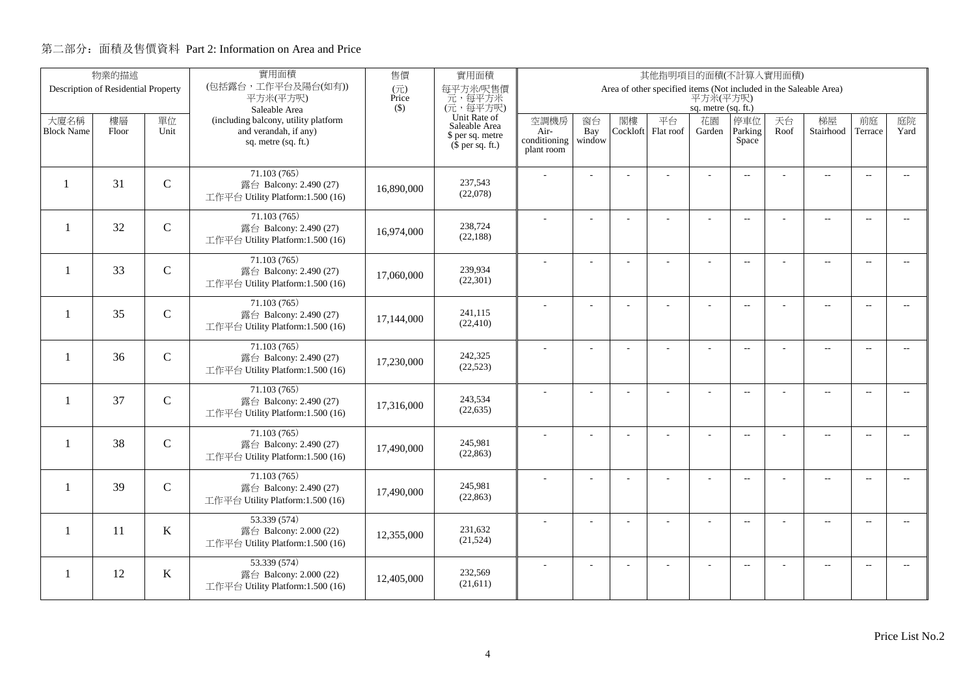|                           | 物業的描述                               |               | 實用面積<br>售價<br>實用面積<br>其他指明項目的面積(不計算入實用面積)                     |              |                                                   |                              |                     |                |                                                                   |                     |                          |            |                          |                          |                          |
|---------------------------|-------------------------------------|---------------|---------------------------------------------------------------|--------------|---------------------------------------------------|------------------------------|---------------------|----------------|-------------------------------------------------------------------|---------------------|--------------------------|------------|--------------------------|--------------------------|--------------------------|
|                           | Description of Residential Property |               | (包括露台,工作平台及陽台(如有))<br>平方米(平方呎)                                | (元)<br>Price | 每平方米/呎售價<br>元,每平方米                                |                              |                     |                | Area of other specified items (Not included in the Saleable Area) | 平方米(平方呎)            |                          |            |                          |                          |                          |
|                           |                                     |               | Saleable Area                                                 | $($ \$)      | (元,每平方呎)                                          |                              |                     |                |                                                                   | sq. metre (sq. ft.) |                          |            |                          |                          |                          |
| 大廈名稱<br><b>Block Name</b> | 樓層<br>Floor                         | 單位<br>Unit    | (including balcony, utility platform<br>and verandah, if any) |              | Unit Rate of<br>Saleable Area<br>\$ per sq. metre | 空調機房<br>Air-<br>conditioning | 窗台<br>Bay<br>window | 閣樓<br>Cockloft | 平台<br>Flat roof                                                   | 花園<br>Garden        | 停車位<br>Parking<br>Space  | 天台<br>Roof | 梯屋<br>Stairhood          | 前庭<br>Terrace            | 庭院<br>Yard               |
|                           |                                     |               | sq. metre (sq. ft.)                                           |              | $$$ per sq. ft.)                                  | plant room                   |                     |                |                                                                   |                     |                          |            |                          |                          |                          |
| $\mathbf{1}$              | 31                                  | $\mathbf C$   | 71.103(765)<br>露台 Balcony: 2.490 (27)                         |              | 237.543                                           |                              |                     |                |                                                                   |                     | $\overline{a}$           |            | $\overline{\phantom{a}}$ | $\overline{\phantom{a}}$ |                          |
|                           |                                     |               | 工作平台 Utility Platform:1.500 (16)                              | 16,890,000   | (22,078)                                          |                              |                     |                |                                                                   |                     |                          |            |                          |                          |                          |
| $\mathbf{1}$              | 32                                  | $\mathbf C$   | 71.103 (765)<br>露台 Balcony: 2.490 (27)                        |              | 238,724                                           |                              |                     |                | ÷.                                                                | ÷                   | $\overline{a}$           |            | $\overline{\phantom{a}}$ | $\sim$                   |                          |
|                           |                                     |               | 工作平台 Utility Platform:1.500 (16)                              | 16,974,000   | (22, 188)                                         |                              |                     |                |                                                                   |                     |                          |            |                          |                          |                          |
| $\overline{\phantom{0}}$  | 33                                  | $\mathbf C$   | 71.103 (765)<br>露台 Balcony: 2.490 (27)                        | 17,060,000   | 239,934                                           |                              | L.                  |                |                                                                   | L,                  | $\overline{a}$           |            | $\overline{\phantom{a}}$ | $\sim$                   | $\overline{a}$           |
|                           |                                     |               | 工作平台 Utility Platform:1.500 (16)                              |              | (22, 301)                                         |                              |                     |                |                                                                   |                     |                          |            |                          |                          |                          |
| -1                        | 35                                  | $\mathsf{C}$  | 71.103 (765)<br>露台 Balcony: 2.490 (27)                        | 17,144,000   | 241,115                                           |                              |                     |                |                                                                   | L,                  | $\overline{a}$           |            | $\overline{\phantom{a}}$ | $\overline{\phantom{a}}$ | $- -$                    |
|                           |                                     |               | 工作平台 Utility Platform:1.500 (16)                              |              | (22, 410)                                         |                              |                     |                |                                                                   |                     |                          |            |                          |                          |                          |
| $\mathbf{1}$              | 36                                  | $\mathbf C$   | 71.103 (765)<br>露台 Balcony: 2.490 (27)                        | 17,230,000   | 242,325                                           |                              |                     |                |                                                                   |                     | $\sim$                   |            | $\overline{\phantom{a}}$ | $\sim$                   | $\sim$                   |
|                           |                                     |               | 工作平台 Utility Platform:1.500 (16)                              |              | (22, 523)                                         |                              |                     |                |                                                                   |                     |                          |            |                          |                          |                          |
| $\mathbf{1}$              | 37                                  | $\mathbf C$   | 71.103(765)<br>露台 Balcony: 2.490 (27)                         | 17,316,000   | 243,534                                           |                              | $\overline{a}$      |                |                                                                   | ÷,                  | $\overline{\phantom{m}}$ |            | $\overline{\phantom{m}}$ | $\overline{\phantom{a}}$ | $- -$                    |
|                           |                                     |               | 工作平台 Utility Platform:1.500 (16)                              |              | (22, 635)                                         |                              |                     |                |                                                                   |                     |                          |            |                          |                          |                          |
| $\mathbf{1}$              | 38                                  | $\mathbf C$   | 71.103 (765)<br>露台 Balcony: 2.490 (27)                        | 17,490,000   | 245,981                                           |                              | ÷                   |                |                                                                   | $\overline{a}$      | $\overline{a}$           |            | $\overline{\phantom{a}}$ | $\overline{\phantom{a}}$ | $- -$                    |
|                           |                                     |               | 工作平台 Utility Platform:1.500 (16)                              |              | (22, 863)                                         |                              |                     |                |                                                                   |                     |                          |            |                          |                          |                          |
| -1                        | 39                                  | $\mathcal{C}$ | 71.103(765)<br>露台 Balcony: 2.490 (27)                         | 17,490,000   | 245.981                                           |                              | L.                  |                | L,                                                                | L,                  | $\overline{\phantom{a}}$ |            | $\overline{\phantom{a}}$ | $\sim$                   | $\overline{a}$           |
|                           |                                     |               | 工作平台 Utility Platform:1.500 (16)                              |              | (22, 863)                                         |                              |                     |                |                                                                   |                     |                          |            |                          |                          |                          |
| 1                         | 11                                  | $\bf K$       | 53.339 (574)<br>露台 Balcony: 2.000 (22)                        | 12,355,000   | 231,632                                           |                              | ÷                   |                |                                                                   | ÷,                  | $\overline{\phantom{m}}$ |            | $\overline{\phantom{a}}$ | $\sim$                   | $- -$                    |
|                           |                                     |               | 工作平台 Utility Platform:1.500 (16)                              |              | (21, 524)                                         |                              |                     |                |                                                                   |                     |                          |            |                          |                          |                          |
| -1                        | 12                                  | $\bf K$       | 53.339 (574)<br>露台 Balcony: 2.000 (22)                        | 12,405,000   | 232,569                                           |                              |                     |                |                                                                   |                     | $\overline{\phantom{a}}$ |            | $\overline{\phantom{m}}$ | $\overline{a}$           | $\overline{\phantom{a}}$ |
|                           |                                     |               | 工作平台 Utility Platform:1.500 (16)                              |              | (21,611)                                          |                              |                     |                |                                                                   |                     |                          |            |                          |                          |                          |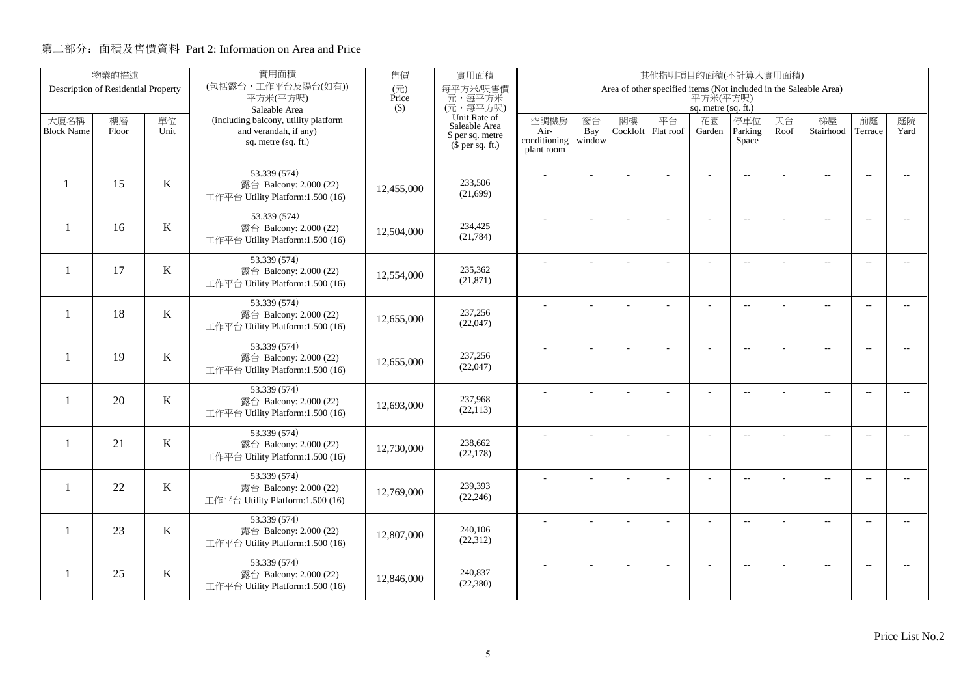|                   | 物業的描述                               |         | 實用面積<br>售價<br>實用面積<br>其他指明項目的面積(不計算入實用面積)                  |              |                                      |                      |                |          |                                                                   |                     |                          |      |                          |                          |                          |
|-------------------|-------------------------------------|---------|------------------------------------------------------------|--------------|--------------------------------------|----------------------|----------------|----------|-------------------------------------------------------------------|---------------------|--------------------------|------|--------------------------|--------------------------|--------------------------|
|                   | Description of Residential Property |         | (包括露台,工作平台及陽台(如有))<br>平方米(平方呎)                             | (元)<br>Price | 每平方米/呎售價<br>元,每平方米                   |                      |                |          | Area of other specified items (Not included in the Saleable Area) | 平方米(平方呎)            |                          |      |                          |                          |                          |
|                   |                                     |         | Saleable Area                                              | $($ \$)      | (元,每平方呎)                             |                      |                |          |                                                                   | sq. metre (sq. ft.) |                          |      |                          |                          |                          |
| 大廈名稱              | 樓層                                  | 單位      | (including balcony, utility platform                       |              | Unit Rate of<br>Saleable Area        | 空調機房                 | 窗台             | 閣樓       | 平台                                                                | 花園                  | 停車位                      | 天台   | 梯屋                       | 前庭                       | 庭院<br>Yard               |
| <b>Block Name</b> | Floor                               | Unit    | and verandah, if any)<br>sq. metre (sq. ft.)               |              | \$ per sq. metre<br>$$$ per sq. ft.) | Air-<br>conditioning | Bay<br>window  | Cockloft | Flat roof                                                         | Garden              | Parking<br>Space         | Roof | Stairhood                | Terrace                  |                          |
|                   |                                     |         |                                                            |              |                                      | plant room           |                |          |                                                                   |                     |                          |      |                          |                          |                          |
|                   |                                     |         | 53.339 (574)                                               |              |                                      |                      |                |          |                                                                   |                     | $\overline{a}$           |      | $\overline{\phantom{a}}$ | $\overline{\phantom{a}}$ |                          |
| $\mathbf{1}$      | 15                                  | K       | 露台 Balcony: 2.000 (22)                                     | 12,455,000   | 233,506<br>(21,699)                  |                      |                |          |                                                                   |                     |                          |      |                          |                          |                          |
|                   |                                     |         | 工作平台 Utility Platform:1.500 (16)                           |              |                                      |                      |                |          |                                                                   |                     |                          |      |                          |                          |                          |
| $\mathbf{1}$      | 16                                  | $\bf K$ | 53.339 (574)                                               |              | 234,425                              |                      |                |          | ÷.                                                                | ÷.                  | $\overline{a}$           |      | $\overline{a}$           | $\sim$                   |                          |
|                   |                                     |         | 露台 Balcony: 2.000 (22)<br>工作平台 Utility Platform:1.500 (16) | 12,504,000   | (21, 784)                            |                      |                |          |                                                                   |                     |                          |      |                          |                          |                          |
|                   |                                     |         |                                                            |              |                                      |                      |                |          |                                                                   |                     |                          |      |                          |                          |                          |
| -1                | 17                                  | K       | 53.339 (574)<br>露台 Balcony: 2.000 (22)                     |              | 235,362                              |                      | L.             |          |                                                                   | L,                  | $\overline{a}$           |      | $\overline{\phantom{a}}$ | $\sim$                   | $\overline{a}$           |
|                   |                                     |         | 工作平台 Utility Platform:1.500 (16)                           | 12,554,000   | (21, 871)                            |                      |                |          |                                                                   |                     |                          |      |                          |                          |                          |
|                   |                                     |         | 53.339 (574)                                               |              |                                      |                      |                |          |                                                                   | $\overline{a}$      | $\mathbf{L}$             |      | $\overline{\phantom{a}}$ | $\overline{\phantom{a}}$ | $- -$                    |
| $\mathbf{1}$      | 18                                  | K       | 露台 Balcony: 2.000 (22)                                     | 12,655,000   | 237,256<br>(22,047)                  |                      |                |          |                                                                   |                     |                          |      |                          |                          |                          |
|                   |                                     |         | 工作平台 Utility Platform:1.500 (16)                           |              |                                      |                      |                |          |                                                                   |                     |                          |      |                          |                          |                          |
| $\mathbf{1}$      | 19                                  | K       | 53.339 (574)                                               |              | 237,256                              |                      |                |          |                                                                   |                     | $\sim$                   |      | $\overline{\phantom{a}}$ | $\sim$                   | $\sim$                   |
|                   |                                     |         | 露台 Balcony: 2.000 (22)<br>工作平台 Utility Platform:1.500 (16) | 12,655,000   | (22,047)                             |                      |                |          |                                                                   |                     |                          |      |                          |                          |                          |
|                   |                                     |         | 53.339 (574)                                               |              |                                      |                      |                |          |                                                                   |                     |                          |      |                          |                          |                          |
| $\mathbf{1}$      | 20                                  | $\bf K$ | 露台 Balcony: 2.000 (22)                                     | 12,693,000   | 237,968                              |                      | $\overline{a}$ |          |                                                                   | ÷,                  | $\overline{\phantom{m}}$ |      | $\overline{\phantom{m}}$ | $\overline{\phantom{a}}$ | $- -$                    |
|                   |                                     |         | 工作平台 Utility Platform:1.500 (16)                           |              | (22, 113)                            |                      |                |          |                                                                   |                     |                          |      |                          |                          |                          |
|                   |                                     |         | 53.339 (574)                                               |              |                                      |                      | ÷              |          |                                                                   | $\overline{a}$      | $\overline{a}$           |      | $\overline{a}$           | $\overline{\phantom{a}}$ | $- -$                    |
| $\mathbf{1}$      | 21                                  | $\bf K$ | 露台 Balcony: 2.000 (22)                                     | 12,730,000   | 238,662<br>(22, 178)                 |                      |                |          |                                                                   |                     |                          |      |                          |                          |                          |
|                   |                                     |         | 工作平台 Utility Platform:1.500 (16)                           |              |                                      |                      |                |          |                                                                   |                     |                          |      |                          |                          |                          |
| -1                | 22                                  | K       | 53.339 (574)<br>露台 Balcony: 2.000 (22)                     |              | 239.393                              |                      | L.             |          | L,                                                                | L,                  | $\overline{\phantom{a}}$ |      | $\overline{\phantom{a}}$ | $\sim$                   | $\overline{a}$           |
|                   |                                     |         | 工作平台 Utility Platform:1.500 (16)                           | 12,769,000   | (22, 246)                            |                      |                |          |                                                                   |                     |                          |      |                          |                          |                          |
|                   |                                     |         | 53.339 (574)                                               |              |                                      |                      |                |          |                                                                   |                     |                          |      |                          |                          |                          |
| 1                 | 23                                  | $\bf K$ | 露台 Balcony: 2.000 (22)                                     | 12,807,000   | 240,106                              |                      | ÷              |          | L,                                                                | ÷,                  | $\overline{\phantom{m}}$ |      | $\overline{\phantom{a}}$ | $\sim$                   | $\overline{\phantom{a}}$ |
|                   |                                     |         | 工作平台 Utility Platform:1.500 (16)                           |              | (22, 312)                            |                      |                |          |                                                                   |                     |                          |      |                          |                          |                          |
|                   |                                     |         | 53.339 (574)                                               |              |                                      |                      |                |          |                                                                   |                     | $\overline{\phantom{a}}$ |      | $\overline{\phantom{m}}$ | $\overline{a}$           | $\overline{a}$           |
| -1                | 25                                  | $\bf K$ | 露台 Balcony: 2.000 (22)                                     | 12,846,000   | 240,837<br>(22, 380)                 |                      |                |          |                                                                   |                     |                          |      |                          |                          |                          |
|                   |                                     |         | 工作平台 Utility Platform:1.500 (16)                           |              |                                      |                      |                |          |                                                                   |                     |                          |      |                          |                          |                          |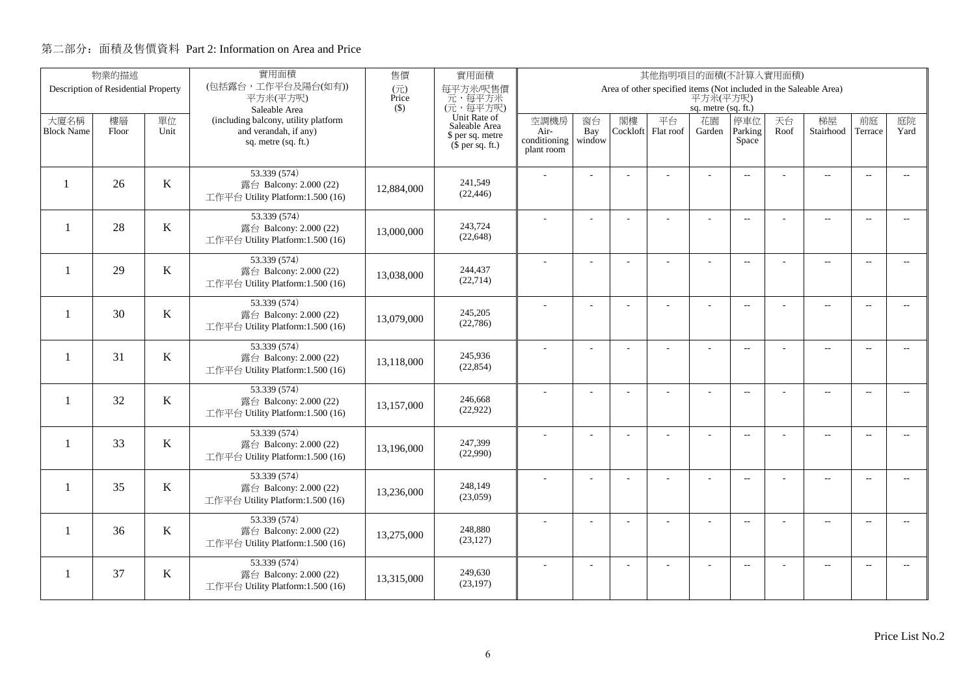|                          | 物業的描述                               |         | 實用面積                                                       | 售價<br>實用面積<br>其他指明項目的面積(不計算入實用面積) |                               |                      |                |          |                                                                   |                     |                          |      |                          |                          |                          |
|--------------------------|-------------------------------------|---------|------------------------------------------------------------|-----------------------------------|-------------------------------|----------------------|----------------|----------|-------------------------------------------------------------------|---------------------|--------------------------|------|--------------------------|--------------------------|--------------------------|
|                          | Description of Residential Property |         | (包括露台,工作平台及陽台(如有))<br>平方米(平方呎)                             | $(\overrightarrow{\pi})$<br>Price | 每平方米/呎售價<br>元,每平方米            |                      |                |          | Area of other specified items (Not included in the Saleable Area) | 平方米(平方呎)            |                          |      |                          |                          |                          |
|                          |                                     |         | Saleable Area                                              | $($ \$)                           | (元,每平方呎)                      |                      |                |          |                                                                   | sq. metre (sq. ft.) |                          |      |                          |                          |                          |
| 大廈名稱                     | 樓層                                  | 單位      | (including balcony, utility platform                       |                                   | Unit Rate of<br>Saleable Area | 空調機房                 | 窗台             | 閣樓       | 平台                                                                | 花園                  | 停車位                      | 天台   | 梯屋                       | 前庭                       | 庭院                       |
| <b>Block Name</b>        | Floor                               | Unit    | and verandah, if any)<br>sq. metre (sq. ft.)               |                                   | \$ per sq. metre              | Air-<br>conditioning | Bay<br>window  | Cockloft | Flat roof                                                         | Garden              | Parking<br>Space         | Roof | Stairhood                | Terrace                  | Yard                     |
|                          |                                     |         |                                                            |                                   | $(\bar{\S}$ per sq. ft.)      | plant room           |                |          |                                                                   |                     |                          |      |                          |                          |                          |
|                          |                                     |         | 53.339 (574)                                               |                                   |                               |                      |                |          |                                                                   |                     | $\overline{a}$           |      | $\overline{\phantom{a}}$ | $\sim$                   |                          |
|                          | 26                                  | $\bf K$ | 露台 Balcony: 2.000 (22)                                     | 12,884,000                        | 241,549                       |                      |                |          |                                                                   |                     |                          |      |                          |                          |                          |
|                          |                                     |         | 工作平台 Utility Platform:1.500 (16)                           |                                   | (22, 446)                     |                      |                |          |                                                                   |                     |                          |      |                          |                          |                          |
|                          |                                     |         | 53.339 (574)                                               |                                   |                               |                      |                |          |                                                                   |                     | $\overline{\phantom{a}}$ |      | $\overline{\phantom{a}}$ | $\sim$                   |                          |
| $\overline{\phantom{0}}$ | 28                                  | K       | 露台 Balcony: 2.000 (22)<br>工作平台 Utility Platform:1.500 (16) | 13,000,000                        | 243,724<br>(22, 648)          |                      |                |          |                                                                   |                     |                          |      |                          |                          |                          |
|                          |                                     |         |                                                            |                                   |                               |                      |                |          |                                                                   |                     |                          |      |                          |                          |                          |
| $\mathbf{1}$             | 29                                  | $\bf K$ | 53.339 (574)<br>露台 Balcony: 2.000 (22)                     |                                   | 244,437                       |                      | $\overline{a}$ |          | L.                                                                | ÷                   | $\overline{\phantom{a}}$ |      | $\overline{a}$           | $\overline{\phantom{a}}$ | $-$                      |
|                          |                                     |         | 工作平台 Utility Platform:1.500 (16)                           | 13,038,000                        | (22, 714)                     |                      |                |          |                                                                   |                     |                          |      |                          |                          |                          |
|                          |                                     |         | 53.339 (574)                                               |                                   |                               |                      |                |          |                                                                   |                     | $\overline{a}$           |      | $\overline{\phantom{a}}$ | $\overline{\phantom{a}}$ | $- -$                    |
| -1                       | 30                                  | K       | 露台 Balcony: 2.000 (22)                                     | 13,079,000                        | 245,205                       |                      |                |          |                                                                   |                     |                          |      |                          |                          |                          |
|                          |                                     |         | 工作平台 Utility Platform:1.500 (16)                           |                                   | (22,786)                      |                      |                |          |                                                                   |                     |                          |      |                          |                          |                          |
|                          |                                     |         | 53.339 (574)                                               |                                   | 245.936                       |                      |                |          |                                                                   | ÷.                  | $\overline{\phantom{a}}$ |      | $\overline{a}$           | $\overline{\phantom{a}}$ | $- -$                    |
| $\mathbf{1}$             | 31                                  | K       | 露台 Balcony: 2.000 (22)<br>工作平台 Utility Platform:1.500 (16) | 13,118,000                        | (22, 854)                     |                      |                |          |                                                                   |                     |                          |      |                          |                          |                          |
|                          |                                     |         |                                                            |                                   |                               |                      |                |          |                                                                   |                     |                          |      |                          |                          |                          |
| $\mathbf{1}$             | 32                                  | $\bf K$ | 53.339 (574)<br>露台 Balcony: 2.000 (22)                     |                                   | 246,668                       |                      | $\overline{a}$ |          |                                                                   | ÷,                  | $\overline{\phantom{a}}$ |      | $\overline{a}$           | $\overline{\phantom{a}}$ | $\overline{\phantom{a}}$ |
|                          |                                     |         | 工作平台 Utility Platform:1.500 (16)                           | 13,157,000                        | (22, 922)                     |                      |                |          |                                                                   |                     |                          |      |                          |                          |                          |
|                          |                                     |         | 53.339 (574)                                               |                                   |                               |                      | L.             |          |                                                                   | L,                  | $\overline{\phantom{a}}$ |      | $\overline{a}$           | $\overline{a}$           | $\overline{\phantom{a}}$ |
| $\mathbf{1}$             | 33                                  | $\bf K$ | 露台 Balcony: 2.000 (22)                                     | 13.196.000                        | 247,399<br>(22,990)           |                      |                |          |                                                                   |                     |                          |      |                          |                          |                          |
|                          |                                     |         | 工作平台 Utility Platform:1.500 (16)                           |                                   |                               |                      |                |          |                                                                   |                     |                          |      |                          |                          |                          |
|                          |                                     |         | 53.339 (574)                                               |                                   | 248,149                       |                      | $\overline{a}$ |          | ÷,                                                                | ÷,                  | $\overline{\phantom{a}}$ |      | $\overline{\phantom{a}}$ | $\sim$                   | $- -$                    |
| $\mathbf{1}$             | 35                                  | K       | 露台 Balcony: 2.000 (22)<br>工作平台 Utility Platform:1.500 (16) | 13,236,000                        | (23,059)                      |                      |                |          |                                                                   |                     |                          |      |                          |                          |                          |
|                          |                                     |         |                                                            |                                   |                               |                      |                |          |                                                                   |                     |                          |      |                          |                          |                          |
| 1                        | 36                                  | $\bf K$ | 53.339 (574)<br>露台 Balcony: 2.000 (22)                     | 13,275,000                        | 248,880                       |                      | ÷              |          | ÷                                                                 | ÷                   | $\overline{\phantom{a}}$ |      | $\overline{a}$           | $\overline{\phantom{a}}$ | $\overline{\phantom{a}}$ |
|                          |                                     |         | 工作平台 Utility Platform:1.500 (16)                           |                                   | (23, 127)                     |                      |                |          |                                                                   |                     |                          |      |                          |                          |                          |
|                          |                                     |         | 53.339 (574)                                               |                                   |                               |                      |                |          |                                                                   |                     | $\overline{\phantom{a}}$ |      | $\overline{\phantom{m}}$ | $\overline{a}$           | $\overline{a}$           |
| 1                        | 37                                  | $\bf K$ | 露台 Balcony: 2.000 (22)                                     | 13,315,000                        | 249,630<br>(23, 197)          |                      |                |          |                                                                   |                     |                          |      |                          |                          |                          |
|                          |                                     |         | 工作平台 Utility Platform:1.500 (16)                           |                                   |                               |                      |                |          |                                                                   |                     |                          |      |                          |                          |                          |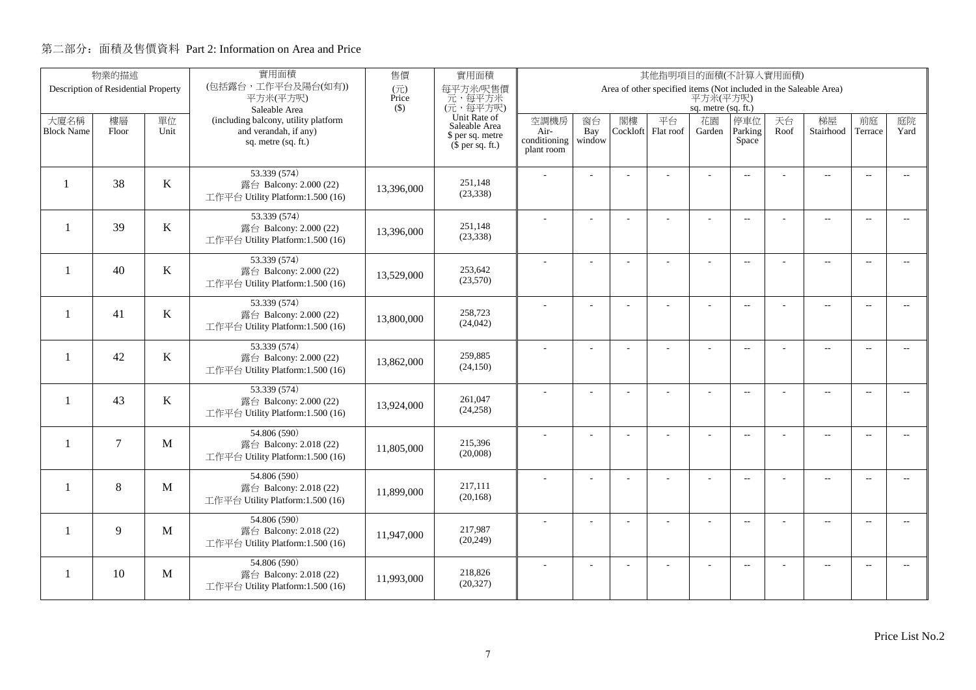|                          | 物業的描述                               |              | 實用面積                                                       | 售價           | 實用面積<br>其他指明項目的面積(不計算入實用面積)          |                      |                |          |                                                                   |                     |                          |      |                          |                          |                |
|--------------------------|-------------------------------------|--------------|------------------------------------------------------------|--------------|--------------------------------------|----------------------|----------------|----------|-------------------------------------------------------------------|---------------------|--------------------------|------|--------------------------|--------------------------|----------------|
|                          | Description of Residential Property |              | (包括露台,工作平台及陽台(如有))<br>平方米(平方呎)                             | (元)<br>Price | 每平方米/呎售價<br>元,每平方米                   |                      |                |          | Area of other specified items (Not included in the Saleable Area) | 平方米(平方呎)            |                          |      |                          |                          |                |
|                          |                                     |              | Saleable Area                                              | $($ \$)      | (元,每平方呎)                             |                      |                |          |                                                                   | sq. metre (sq. ft.) |                          |      |                          |                          |                |
| 大廈名稱                     | 樓層                                  | 單位           | (including balcony, utility platform                       |              | Unit Rate of<br>Saleable Area        | 空調機房                 | 窗台             | 閣樓       | 平台                                                                | 花園                  | 停車位                      | 天台   | 梯屋                       | 前庭                       | 庭院             |
| <b>Block Name</b>        | Floor                               | Unit         | and verandah, if any)<br>sq. metre (sq. ft.)               |              | \$ per sq. metre<br>$$$ per sq. ft.) | Air-<br>conditioning | Bay<br>window  | Cockloft | Flat roof                                                         | Garden              | Parking<br>Space         | Roof | Stairhood                | Terrace                  | Yard           |
|                          |                                     |              |                                                            |              |                                      | plant room           |                |          |                                                                   |                     |                          |      |                          |                          |                |
|                          |                                     |              | 53.339 (574)                                               |              |                                      |                      |                |          |                                                                   |                     | $\overline{a}$           |      | $\overline{\phantom{a}}$ | $\overline{\phantom{a}}$ |                |
| $\mathbf{1}$             | 38                                  | $\bf K$      | 露台 Balcony: 2.000 (22)                                     | 13,396,000   | 251.148<br>(23, 338)                 |                      |                |          |                                                                   |                     |                          |      |                          |                          |                |
|                          |                                     |              | 工作平台 Utility Platform:1.500 (16)                           |              |                                      |                      |                |          |                                                                   |                     |                          |      |                          |                          |                |
|                          | 39                                  |              | 53.339 (574)                                               |              | 251,148                              |                      |                |          | ÷.                                                                | ÷                   | $\overline{a}$           |      | $\overline{a}$           | $\sim$                   |                |
| $\overline{\phantom{0}}$ |                                     | $\bf K$      | 露台 Balcony: 2.000 (22)<br>工作平台 Utility Platform:1.500 (16) | 13,396,000   | (23, 338)                            |                      |                |          |                                                                   |                     |                          |      |                          |                          |                |
|                          |                                     |              |                                                            |              |                                      |                      |                |          |                                                                   |                     |                          |      |                          |                          |                |
| $\overline{\phantom{0}}$ | 40                                  | K            | 53.339 (574)<br>露台 Balcony: 2.000 (22)                     |              | 253,642                              |                      | L.             |          |                                                                   | L,                  | $\overline{a}$           |      | $\overline{\phantom{a}}$ | $\sim$                   | $\overline{a}$ |
|                          |                                     |              | 工作平台 Utility Platform:1.500 (16)                           | 13,529,000   | (23,570)                             |                      |                |          |                                                                   |                     |                          |      |                          |                          |                |
|                          |                                     |              | 53.339 (574)                                               |              |                                      |                      |                |          |                                                                   | ÷.                  | $\overline{a}$           |      | $\overline{\phantom{a}}$ | $\overline{\phantom{a}}$ | $- -$          |
| -1                       | 41                                  | K            | 露台 Balcony: 2.000 (22)                                     | 13,800,000   | 258,723<br>(24, 042)                 |                      |                |          |                                                                   |                     |                          |      |                          |                          |                |
|                          |                                     |              | 工作平台 Utility Platform:1.500 (16)                           |              |                                      |                      |                |          |                                                                   |                     |                          |      |                          |                          |                |
| $\mathbf{1}$             | 42                                  | K            | 53.339 (574)                                               |              | 259,885                              |                      |                |          |                                                                   |                     | $\sim$                   |      | $\overline{\phantom{a}}$ | $\sim$                   | $\sim$         |
|                          |                                     |              | 露台 Balcony: 2.000 (22)<br>工作平台 Utility Platform:1.500 (16) | 13,862,000   | (24, 150)                            |                      |                |          |                                                                   |                     |                          |      |                          |                          |                |
|                          |                                     |              | 53.339 (574)                                               |              |                                      |                      |                |          |                                                                   |                     |                          |      |                          |                          |                |
| $\mathbf{1}$             | 43                                  | K            | 露台 Balcony: 2.000 (22)                                     | 13,924,000   | 261,047                              |                      | $\overline{a}$ |          |                                                                   | ÷,                  | $\overline{\phantom{m}}$ |      | $\overline{\phantom{m}}$ | $\overline{\phantom{a}}$ | $- -$          |
|                          |                                     |              | 工作平台 Utility Platform:1.500 (16)                           |              | (24, 258)                            |                      |                |          |                                                                   |                     |                          |      |                          |                          |                |
|                          |                                     |              | 54.806 (590)                                               |              |                                      |                      | ÷              |          |                                                                   | $\overline{a}$      | $\overline{a}$           |      | $\overline{a}$           | $\overline{\phantom{a}}$ | $- -$          |
| $\mathbf{1}$             | $\overline{7}$                      | M            | 露台 Balcony: 2.018 (22)                                     | 11,805,000   | 215,396<br>(20,008)                  |                      |                |          |                                                                   |                     |                          |      |                          |                          |                |
|                          |                                     |              | 工作平台 Utility Platform:1.500 (16)                           |              |                                      |                      |                |          |                                                                   |                     |                          |      |                          |                          |                |
| $\mathbf{1}$             | 8                                   | $\mathbf{M}$ | 54.806 (590)<br>露台 Balcony: 2.018 (22)                     |              | 217,111                              |                      | L.             |          | L,                                                                | L,                  | $\overline{\phantom{a}}$ |      | $\overline{\phantom{a}}$ | $\sim$                   | $\overline{a}$ |
|                          |                                     |              | 工作平台 Utility Platform:1.500 (16)                           | 11,899,000   | (20, 168)                            |                      |                |          |                                                                   |                     |                          |      |                          |                          |                |
|                          |                                     |              | 54.806 (590)                                               |              |                                      |                      |                |          |                                                                   |                     |                          |      |                          |                          |                |
| $\mathbf{1}$             | 9                                   | M            | 露台 Balcony: 2.018 (22)                                     | 11,947,000   | 217,987                              |                      | ÷              |          | L,                                                                |                     | $\overline{\phantom{m}}$ |      | $\overline{\phantom{a}}$ | $\sim$                   | $- -$          |
|                          |                                     |              | 工作平台 Utility Platform:1.500 (16)                           |              | (20, 249)                            |                      |                |          |                                                                   |                     |                          |      |                          |                          |                |
|                          |                                     |              | 54.806 (590)                                               |              |                                      |                      |                |          |                                                                   |                     | $\overline{\phantom{a}}$ |      | $\overline{\phantom{m}}$ | $\overline{a}$           | $\overline{a}$ |
| -1                       | 10                                  | M            | 露台 Balcony: 2.018 (22)                                     | 11,993,000   | 218,826<br>(20, 327)                 |                      |                |          |                                                                   |                     |                          |      |                          |                          |                |
|                          |                                     |              | 工作平台 Utility Platform:1.500 (16)                           |              |                                      |                      |                |          |                                                                   |                     |                          |      |                          |                          |                |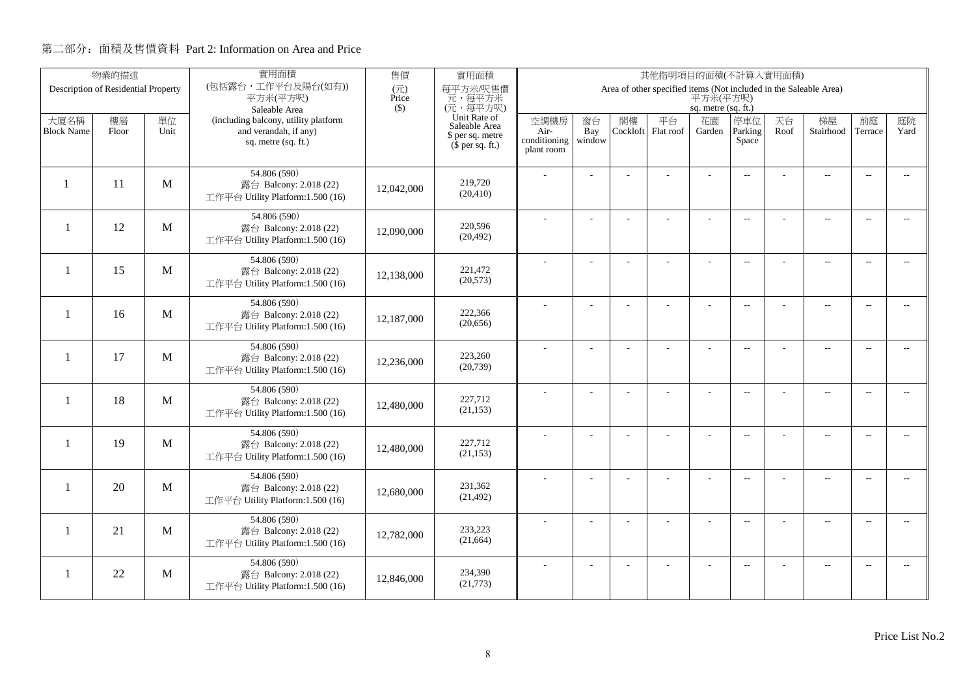|                          | 物業的描述                               |      | 實用面積                                                       | 售價                                | 實用面積<br>其他指明項目的面積(不計算入實用面積)   |                      |                |          |                                                                   |                     |                          |      |                          |                          |                          |
|--------------------------|-------------------------------------|------|------------------------------------------------------------|-----------------------------------|-------------------------------|----------------------|----------------|----------|-------------------------------------------------------------------|---------------------|--------------------------|------|--------------------------|--------------------------|--------------------------|
|                          | Description of Residential Property |      | (包括露台,工作平台及陽台(如有))<br>平方米(平方呎)                             | $(\overrightarrow{\pi})$<br>Price | 每平方米/呎售價<br>元,每平方米            |                      |                |          | Area of other specified items (Not included in the Saleable Area) | 平方米(平方呎)            |                          |      |                          |                          |                          |
|                          |                                     |      | Saleable Area                                              | $($ \$)                           | (元,每平方呎)                      |                      |                |          |                                                                   | sq. metre (sq. ft.) |                          |      |                          |                          |                          |
| 大廈名稱                     | 樓層                                  | 單位   | (including balcony, utility platform                       |                                   | Unit Rate of<br>Saleable Area | 空調機房                 | 窗台             | 閣樓       | 平台                                                                | 花園                  | 停車位                      | 天台   | 梯屋                       | 前庭                       | 庭院                       |
| <b>Block Name</b>        | Floor                               | Unit | and verandah, if any)<br>sq. metre (sq. ft.)               |                                   | \$ per sq. metre              | Air-<br>conditioning | Bay<br>window  | Cockloft | Flat roof                                                         | Garden              | Parking<br>Space         | Roof | Stairhood                | Terrace                  | Yard                     |
|                          |                                     |      |                                                            |                                   | $(\bar{\S}$ per sq. ft.)      | plant room           |                |          |                                                                   |                     |                          |      |                          |                          |                          |
|                          |                                     |      | 54.806 (590)                                               |                                   |                               |                      |                |          |                                                                   |                     |                          |      |                          |                          |                          |
|                          | 11                                  | M    | 露台 Balcony: 2.018 (22)                                     | 12,042,000                        | 219,720                       |                      |                |          |                                                                   |                     | $\overline{a}$           |      | $\overline{\phantom{a}}$ | $\sim$                   |                          |
|                          |                                     |      | 工作平台 Utility Platform:1.500 (16)                           |                                   | (20, 410)                     |                      |                |          |                                                                   |                     |                          |      |                          |                          |                          |
|                          |                                     |      | 54.806 (590)                                               |                                   |                               |                      |                |          |                                                                   |                     | $\overline{\phantom{a}}$ |      | $\overline{\phantom{a}}$ | $\sim$                   |                          |
| $\overline{\phantom{0}}$ | 12                                  | M    | 露台 Balcony: 2.018 (22)                                     | 12,090,000                        | 220,596                       |                      |                |          |                                                                   |                     |                          |      |                          |                          |                          |
|                          |                                     |      | 工作平台 Utility Platform:1.500 (16)                           |                                   | (20, 492)                     |                      |                |          |                                                                   |                     |                          |      |                          |                          |                          |
|                          |                                     |      | 54.806 (590)                                               |                                   |                               |                      | $\overline{a}$ |          | L.                                                                | ÷                   | $\overline{\phantom{a}}$ |      | $\overline{a}$           | $\overline{\phantom{a}}$ | $-$                      |
| $\mathbf{1}$             | 15                                  | M    | 露台 Balcony: 2.018 (22)<br>工作平台 Utility Platform:1.500 (16) | 12,138,000                        | 221,472<br>(20,573)           |                      |                |          |                                                                   |                     |                          |      |                          |                          |                          |
|                          |                                     |      |                                                            |                                   |                               |                      |                |          |                                                                   |                     |                          |      |                          |                          |                          |
| -1                       | 16                                  | M    | 54.806 (590)                                               |                                   | 222,366                       |                      |                |          |                                                                   | L,                  | $\overline{a}$           |      | $\overline{\phantom{a}}$ | $\overline{\phantom{a}}$ | $- -$                    |
|                          |                                     |      | 露台 Balcony: 2.018 (22)<br>工作平台 Utility Platform:1.500 (16) | 12,187,000                        | (20, 656)                     |                      |                |          |                                                                   |                     |                          |      |                          |                          |                          |
|                          |                                     |      |                                                            |                                   |                               |                      |                |          |                                                                   |                     |                          |      |                          |                          |                          |
| $\mathbf{1}$             | 17                                  | M    | 54.806 (590)<br>露台 Balcony: 2.018 (22)                     |                                   | 223,260                       |                      |                |          |                                                                   | ÷.                  | $\overline{a}$           |      | $\overline{a}$           | $\overline{\phantom{a}}$ | $- -$                    |
|                          |                                     |      | 工作平台 Utility Platform:1.500 (16)                           | 12,236,000                        | (20, 739)                     |                      |                |          |                                                                   |                     |                          |      |                          |                          |                          |
|                          |                                     |      | 54.806 (590)                                               |                                   |                               |                      | $\overline{a}$ |          |                                                                   | ÷,                  | $\overline{\phantom{a}}$ |      | $\overline{a}$           | $\overline{\phantom{a}}$ | $- -$                    |
| $\mathbf{1}$             | 18                                  | M    | 露台 Balcony: 2.018 (22)                                     | 12,480,000                        | 227,712                       |                      |                |          |                                                                   |                     |                          |      |                          |                          |                          |
|                          |                                     |      | 工作平台 Utility Platform:1.500 (16)                           |                                   | (21, 153)                     |                      |                |          |                                                                   |                     |                          |      |                          |                          |                          |
|                          |                                     |      | 54.806 (590)                                               |                                   |                               |                      | L.             |          |                                                                   | L,                  | $\overline{\phantom{a}}$ |      | $\overline{a}$           | $\overline{a}$           | $\overline{\phantom{a}}$ |
| $\mathbf{1}$             | 19                                  | M    | 露台 Balcony: 2.018 (22)                                     | 12,480,000                        | 227,712<br>(21, 153)          |                      |                |          |                                                                   |                     |                          |      |                          |                          |                          |
|                          |                                     |      | 工作平台 Utility Platform:1.500 (16)                           |                                   |                               |                      |                |          |                                                                   |                     |                          |      |                          |                          |                          |
|                          |                                     |      | 54.806 (590)                                               |                                   | 231,362                       |                      | $\overline{a}$ |          | ÷,                                                                | ÷,                  | $\overline{\phantom{a}}$ |      | $\overline{\phantom{a}}$ | $\sim$                   | $- -$                    |
| $\mathbf{1}$             | 20                                  | M    | 露台 Balcony: 2.018 (22)<br>工作平台 Utility Platform:1.500 (16) | 12,680,000                        | (21, 492)                     |                      |                |          |                                                                   |                     |                          |      |                          |                          |                          |
|                          |                                     |      |                                                            |                                   |                               |                      |                |          |                                                                   |                     |                          |      |                          |                          |                          |
| 1                        | 21                                  | M    | 54.806 (590)<br>露台 Balcony: 2.018 (22)                     |                                   | 233,223                       |                      | ÷              |          | ÷                                                                 | ÷                   | $\overline{\phantom{a}}$ |      | $\overline{a}$           | $\sim$                   | $\overline{\phantom{a}}$ |
|                          |                                     |      | 工作平台 Utility Platform:1.500 (16)                           | 12,782,000                        | (21,664)                      |                      |                |          |                                                                   |                     |                          |      |                          |                          |                          |
|                          |                                     |      | 54.806 (590)                                               |                                   |                               |                      |                |          |                                                                   |                     |                          |      |                          |                          |                          |
| 1                        | 22                                  | M    | 露台 Balcony: 2.018 (22)                                     | 12,846,000                        | 234,390                       |                      |                |          |                                                                   |                     | $\overline{\phantom{a}}$ |      | $\overline{\phantom{m}}$ | $\overline{a}$           | $\overline{a}$           |
|                          |                                     |      | 工作平台 Utility Platform:1.500 (16)                           |                                   | (21,773)                      |                      |                |          |                                                                   |                     |                          |      |                          |                          |                          |
|                          |                                     |      |                                                            |                                   |                               |                      |                |          |                                                                   |                     |                          |      |                          |                          |                          |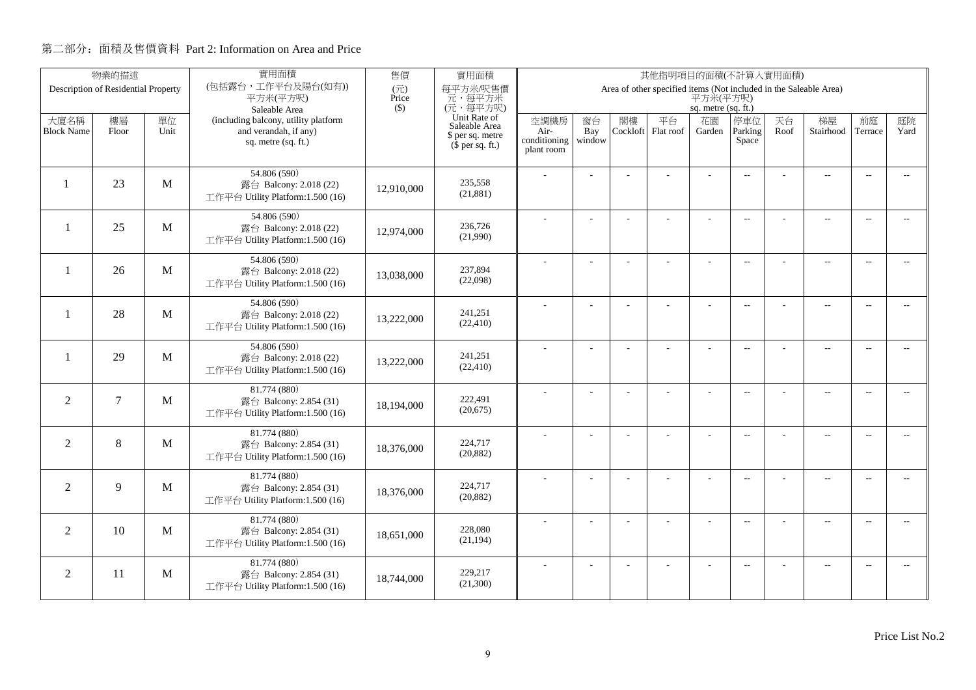|                          | 物業的描述                               |      | 實用面積                                                       | 售價<br>實用面積<br>其他指明項目的面積(不計算入實用面積)<br>Area of other specified items (Not included in the Saleable Area) |                               |                      |                |          |           |                     |                          |      |                          |                          |                          |
|--------------------------|-------------------------------------|------|------------------------------------------------------------|--------------------------------------------------------------------------------------------------------|-------------------------------|----------------------|----------------|----------|-----------|---------------------|--------------------------|------|--------------------------|--------------------------|--------------------------|
|                          | Description of Residential Property |      | (包括露台,工作平台及陽台(如有))<br>平方米(平方呎)                             | $(\overrightarrow{\pi})$<br>Price                                                                      | 每平方米/呎售價<br>元,每平方米            |                      |                |          |           | 平方米(平方呎)            |                          |      |                          |                          |                          |
|                          |                                     |      | Saleable Area                                              | $($ \$)                                                                                                | (元,每平方呎)                      |                      |                |          |           | sq. metre (sq. ft.) |                          |      |                          |                          |                          |
| 大廈名稱                     | 樓層                                  | 單位   | (including balcony, utility platform                       |                                                                                                        | Unit Rate of<br>Saleable Area | 空調機房                 | 窗台             | 閣樓       | 平台        | 花園                  | 停車位                      | 天台   | 梯屋                       | 前庭                       | 庭院                       |
| <b>Block Name</b>        | Floor                               | Unit | and verandah, if any)<br>sq. metre (sq. ft.)               |                                                                                                        | \$ per sq. metre              | Air-<br>conditioning | Bay<br>window  | Cockloft | Flat roof | Garden              | Parking<br>Space         | Roof | Stairhood                | Terrace                  | Yard                     |
|                          |                                     |      |                                                            |                                                                                                        | $(\bar{\S}$ per sq. ft.)      | plant room           |                |          |           |                     |                          |      |                          |                          |                          |
|                          |                                     |      | 54.806 (590)                                               |                                                                                                        |                               |                      |                |          |           |                     |                          |      |                          |                          |                          |
|                          | 23                                  | M    | 露台 Balcony: 2.018 (22)                                     | 12.910.000                                                                                             | 235,558                       |                      |                |          |           |                     | $\overline{a}$           |      | $\overline{a}$           | $\sim$                   |                          |
|                          |                                     |      | 工作平台 Utility Platform:1.500 (16)                           |                                                                                                        | (21, 881)                     |                      |                |          |           |                     |                          |      |                          |                          |                          |
|                          |                                     |      | 54.806 (590)                                               |                                                                                                        |                               |                      |                |          |           |                     | $\overline{\phantom{a}}$ |      | $\overline{\phantom{a}}$ | $\sim$                   |                          |
| $\overline{\phantom{0}}$ | 25                                  | M    | 露台 Balcony: 2.018 (22)                                     | 12,974,000                                                                                             | 236,726                       |                      |                |          |           |                     |                          |      |                          |                          |                          |
|                          |                                     |      | 工作平台 Utility Platform:1.500 (16)                           |                                                                                                        | (21,990)                      |                      |                |          |           |                     |                          |      |                          |                          |                          |
|                          |                                     |      | 54.806 (590)                                               |                                                                                                        |                               |                      | $\overline{a}$ |          | L.        | ÷                   | $\overline{\phantom{a}}$ |      | $\overline{a}$           | $\overline{\phantom{a}}$ | $-$                      |
| $\mathbf{1}$             | 26                                  | M    | 露台 Balcony: 2.018 (22)<br>工作平台 Utility Platform:1.500 (16) | 13,038,000                                                                                             | 237,894<br>(22,098)           |                      |                |          |           |                     |                          |      |                          |                          |                          |
|                          |                                     |      |                                                            |                                                                                                        |                               |                      |                |          |           |                     |                          |      |                          |                          |                          |
| -1                       | 28                                  | M    | 54.806 (590)                                               |                                                                                                        | 241,251                       |                      |                |          |           |                     | $\overline{a}$           |      | $\overline{\phantom{a}}$ | $\overline{\phantom{a}}$ | $- -$                    |
|                          |                                     |      | 露台 Balcony: 2.018 (22)<br>工作平台 Utility Platform:1.500 (16) | 13,222,000                                                                                             | (22, 410)                     |                      |                |          |           |                     |                          |      |                          |                          |                          |
|                          |                                     |      |                                                            |                                                                                                        |                               |                      |                |          |           |                     |                          |      |                          |                          |                          |
| -1                       | 29                                  | M    | 54.806 (590)<br>露台 Balcony: 2.018 (22)                     |                                                                                                        | 241.251                       |                      |                |          |           | ÷.                  | $\overline{\phantom{a}}$ |      | $\overline{a}$           | $\overline{\phantom{a}}$ | $- -$                    |
|                          |                                     |      | 工作平台 Utility Platform:1.500 (16)                           | 13,222,000                                                                                             | (22, 410)                     |                      |                |          |           |                     |                          |      |                          |                          |                          |
|                          |                                     |      | 81.774 (880)                                               |                                                                                                        |                               |                      | $\overline{a}$ |          |           | ÷,                  | $\overline{\phantom{a}}$ |      | $\overline{a}$           | $\overline{\phantom{a}}$ | $\overline{\phantom{a}}$ |
| $\overline{2}$           | $\tau$                              | M    | 露台 Balcony: 2.854 (31)                                     | 18,194,000                                                                                             | 222,491                       |                      |                |          |           |                     |                          |      |                          |                          |                          |
|                          |                                     |      | 工作平台 Utility Platform:1.500 (16)                           |                                                                                                        | (20,675)                      |                      |                |          |           |                     |                          |      |                          |                          |                          |
|                          |                                     |      | 81.774 (880)                                               |                                                                                                        |                               |                      | L.             |          |           | L,                  | $\overline{\phantom{a}}$ |      | $\overline{a}$           | $\overline{a}$           | $\overline{a}$           |
| $\overline{2}$           | 8                                   | M    | 露台 Balcony: 2.854 (31)                                     | 18,376,000                                                                                             | 224,717<br>(20, 882)          |                      |                |          |           |                     |                          |      |                          |                          |                          |
|                          |                                     |      | 工作平台 Utility Platform:1.500 (16)                           |                                                                                                        |                               |                      |                |          |           |                     |                          |      |                          |                          |                          |
| $\overline{2}$           | 9                                   | M    | 81.774 (880)                                               |                                                                                                        | 224,717                       |                      | $\overline{a}$ |          | ÷,        | ÷,                  | $\overline{\phantom{a}}$ |      | $\overline{\phantom{a}}$ | $\sim$                   | $- -$                    |
|                          |                                     |      | 露台 Balcony: 2.854 (31)<br>工作平台 Utility Platform:1.500 (16) | 18,376,000                                                                                             | (20, 882)                     |                      |                |          |           |                     |                          |      |                          |                          |                          |
|                          |                                     |      |                                                            |                                                                                                        |                               |                      |                |          |           |                     |                          |      |                          |                          |                          |
| $\overline{2}$           | 10                                  | M    | 81.774 (880)<br>露台 Balcony: 2.854 (31)                     |                                                                                                        | 228,080                       |                      | ÷              |          | ÷         | ÷                   | $\overline{a}$           |      | $\overline{a}$           | $\overline{\phantom{a}}$ | $\overline{\phantom{a}}$ |
|                          |                                     |      | 工作平台 Utility Platform:1.500 (16)                           | 18,651,000                                                                                             | (21, 194)                     |                      |                |          |           |                     |                          |      |                          |                          |                          |
|                          |                                     |      | 81.774 (880)                                               |                                                                                                        |                               |                      |                |          |           |                     | $\overline{\phantom{a}}$ |      | $\overline{\phantom{m}}$ | $\overline{a}$           | $\overline{a}$           |
| $\overline{2}$           | 11                                  | M    | 露台 Balcony: 2.854 (31)                                     | 18,744,000                                                                                             | 229,217                       |                      |                |          |           |                     |                          |      |                          |                          |                          |
|                          |                                     |      | 工作平台 Utility Platform:1.500 (16)                           |                                                                                                        | (21,300)                      |                      |                |          |           |                     |                          |      |                          |                          |                          |
|                          |                                     |      |                                                            |                                                                                                        |                               |                      |                |          |           |                     |                          |      |                          |                          |                          |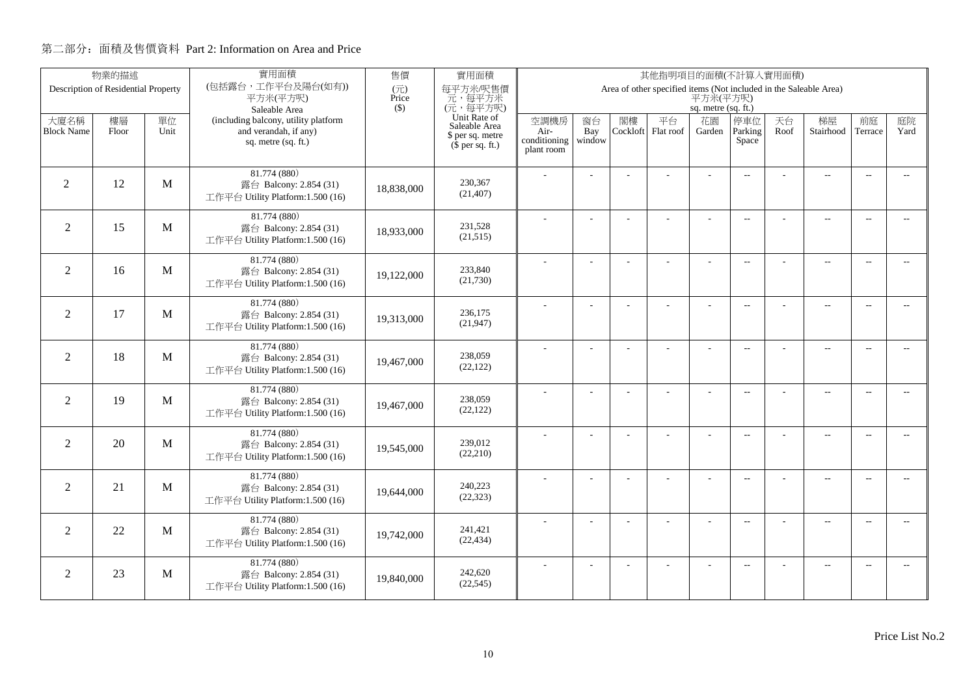|                   | 物業的描述                               |              | 實用面積<br>售價<br>實用面積<br>其他指明項目的面積(不計算入實用面積)                  |              |                               |                      |                |          |                                                                   |                     |                          |      |                          |                          |                             |
|-------------------|-------------------------------------|--------------|------------------------------------------------------------|--------------|-------------------------------|----------------------|----------------|----------|-------------------------------------------------------------------|---------------------|--------------------------|------|--------------------------|--------------------------|-----------------------------|
|                   | Description of Residential Property |              | (包括露台,工作平台及陽台(如有))<br>平方米(平方呎)                             | (元)<br>Price | 每平方米/呎售價<br>元,每平方米            |                      |                |          | Area of other specified items (Not included in the Saleable Area) | 平方米(平方呎)            |                          |      |                          |                          |                             |
|                   |                                     |              | Saleable Area                                              | $($ \$)      | (元,每平方呎)                      |                      |                |          |                                                                   | sq. metre (sq. ft.) |                          |      |                          |                          |                             |
| 大廈名稱              | 樓層                                  | 單位           | (including balcony, utility platform                       |              | Unit Rate of<br>Saleable Area | 空調機房                 | 窗台             | 閣樓       | 平台                                                                | 花園                  | 停車位                      | 天台   | 梯屋                       | 前庭                       | 庭院                          |
| <b>Block Name</b> | Floor                               | Unit         | and verandah, if any)<br>sq. metre (sq. ft.)               |              | \$ per sq. metre              | Air-<br>conditioning | Bay<br>window  | Cockloft | Flat roof                                                         | Garden              | Parking<br>Space         | Roof | Stairhood                | Terrace                  | Yard                        |
|                   |                                     |              |                                                            |              | $$$ per sq. ft.)              | plant room           |                |          |                                                                   |                     |                          |      |                          |                          |                             |
|                   |                                     |              | 81.774 (880)                                               |              |                               |                      |                |          |                                                                   |                     | $\overline{a}$           |      | $\overline{a}$           | $\overline{\phantom{a}}$ |                             |
| 2                 | 12                                  | M            | 露台 Balcony: 2.854 (31)                                     | 18,838,000   | 230.367<br>(21, 407)          |                      |                |          |                                                                   |                     |                          |      |                          |                          |                             |
|                   |                                     |              | 工作平台 Utility Platform:1.500 (16)                           |              |                               |                      |                |          |                                                                   |                     |                          |      |                          |                          |                             |
|                   | 15                                  | M            | 81.774 (880)                                               |              | 231,528                       |                      |                |          | ÷.                                                                | ÷                   | $\overline{a}$           |      | $\overline{a}$           | $\sim$                   | $\sim$                      |
| $\overline{2}$    |                                     |              | 露台 Balcony: 2.854 (31)<br>工作平台 Utility Platform:1.500 (16) | 18,933,000   | (21,515)                      |                      |                |          |                                                                   |                     |                          |      |                          |                          |                             |
|                   |                                     |              |                                                            |              |                               |                      |                |          |                                                                   |                     |                          |      |                          |                          |                             |
| $\overline{2}$    | 16                                  | M            | 81.774 (880)<br>露台 Balcony: 2.854 (31)                     |              | 233,840                       |                      | L.             |          |                                                                   | L,                  | $\overline{a}$           |      | $\overline{\phantom{a}}$ | $\sim$                   | $\overline{a}$              |
|                   |                                     |              | 工作平台 Utility Platform:1.500 (16)                           | 19,122,000   | (21,730)                      |                      |                |          |                                                                   |                     |                          |      |                          |                          |                             |
|                   |                                     |              | 81.774 (880)                                               |              |                               |                      |                |          |                                                                   | ÷.                  | $\overline{a}$           |      | $\overline{\phantom{a}}$ | $\overline{\phantom{a}}$ | $- -$                       |
| $\overline{2}$    | 17                                  | M            | 露台 Balcony: 2.854 (31)                                     | 19,313,000   | 236,175<br>(21, 947)          |                      |                |          |                                                                   |                     |                          |      |                          |                          |                             |
|                   |                                     |              | 工作平台 Utility Platform:1.500 (16)                           |              |                               |                      |                |          |                                                                   |                     |                          |      |                          |                          |                             |
| $\overline{2}$    | 18                                  | M            | 81.774 (880)                                               |              | 238,059                       |                      |                |          |                                                                   |                     | $\sim$                   |      | $\overline{\phantom{a}}$ | $\sim$                   | $\sim$                      |
|                   |                                     |              | 露台 Balcony: 2.854 (31)<br>工作平台 Utility Platform:1.500 (16) | 19,467,000   | (22, 122)                     |                      |                |          |                                                                   |                     |                          |      |                          |                          |                             |
|                   |                                     |              | 81.774 (880)                                               |              |                               |                      |                |          |                                                                   |                     |                          |      |                          |                          |                             |
| $\overline{2}$    | 19                                  | M            | 露台 Balcony: 2.854 (31)                                     | 19,467,000   | 238,059                       |                      | $\overline{a}$ |          |                                                                   | ÷,                  | $\overline{\phantom{m}}$ |      | $\overline{\phantom{m}}$ | $\overline{\phantom{a}}$ | $- -$                       |
|                   |                                     |              | 工作平台 Utility Platform:1.500 (16)                           |              | (22, 122)                     |                      |                |          |                                                                   |                     |                          |      |                          |                          |                             |
|                   |                                     |              | 81.774 (880)                                               |              |                               |                      | ÷              |          |                                                                   | $\overline{a}$      | $\overline{a}$           |      | $\overline{a}$           | $\overline{\phantom{a}}$ | $- -$                       |
| $\overline{2}$    | 20                                  | M            | 露台 Balcony: 2.854 (31)                                     | 19.545.000   | 239,012<br>(22,210)           |                      |                |          |                                                                   |                     |                          |      |                          |                          |                             |
|                   |                                     |              | 工作平台 Utility Platform:1.500 (16)                           |              |                               |                      |                |          |                                                                   |                     |                          |      |                          |                          |                             |
| $\overline{2}$    | 21                                  | $\mathbf{M}$ | 81.774 (880)<br>露台 Balcony: 2.854 (31)                     |              | 240,223                       |                      | L.             |          | L,                                                                | L,                  | $\overline{\phantom{a}}$ |      | $\overline{\phantom{a}}$ | $\sim$                   | $\overline{a}$              |
|                   |                                     |              | 工作平台 Utility Platform:1.500 (16)                           | 19,644,000   | (22, 323)                     |                      |                |          |                                                                   |                     |                          |      |                          |                          |                             |
|                   |                                     |              | 81.774 (880)                                               |              |                               |                      |                |          |                                                                   |                     |                          |      |                          |                          |                             |
| $\overline{2}$    | 22                                  | M            | 露台 Balcony: 2.854 (31)                                     | 19,742,000   | 241,421                       |                      | ÷              |          | L,                                                                |                     | $\overline{\phantom{m}}$ |      | $\overline{\phantom{a}}$ | $\sim$                   | $\overline{\phantom{a}}$    |
|                   |                                     |              | 工作平台 Utility Platform:1.500 (16)                           |              | (22, 434)                     |                      |                |          |                                                                   |                     |                          |      |                          |                          |                             |
|                   |                                     |              | 81.774 (880)                                               |              |                               |                      |                |          |                                                                   |                     | $\overline{\phantom{a}}$ |      | $\overline{\phantom{m}}$ | $\overline{a}$           | $\mathcal{L}_{\mathcal{F}}$ |
| 2                 | 23                                  | M            | 露台 Balcony: 2.854 (31)<br>工作平台 Utility Platform:1.500 (16) | 19,840,000   | 242,620<br>(22, 545)          |                      |                |          |                                                                   |                     |                          |      |                          |                          |                             |
|                   |                                     |              |                                                            |              |                               |                      |                |          |                                                                   |                     |                          |      |                          |                          |                             |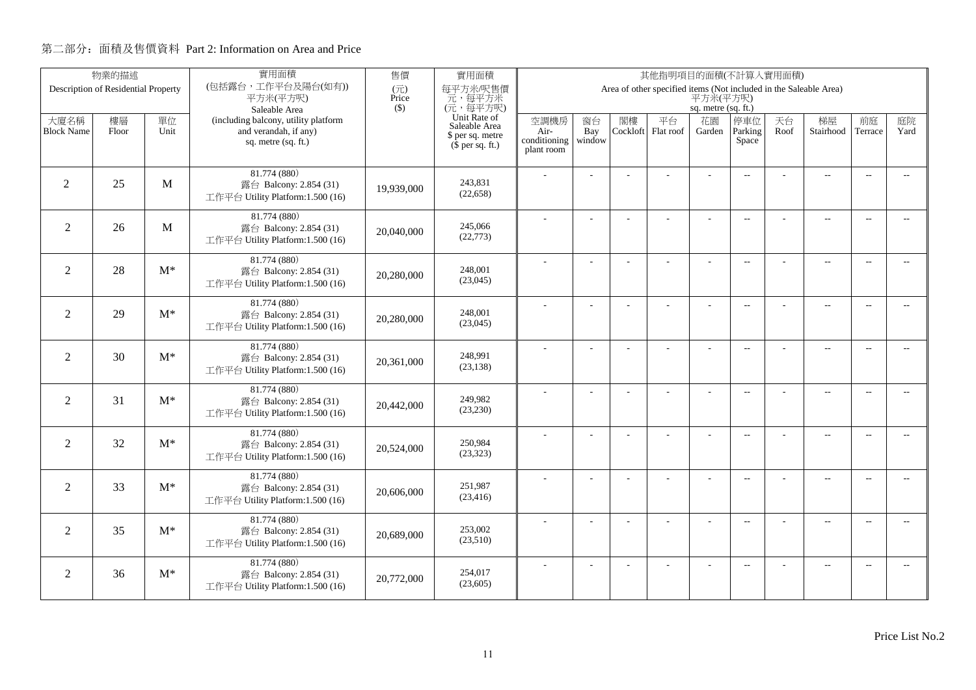| 物業的描述                               |       |            | 實用面積                                                          | 售價                                | 實用面積                                         | 其他指明項目的面積(不計算入實用面積)                                                           |           |    |                          |                |                          |            |                          |                          |                          |  |
|-------------------------------------|-------|------------|---------------------------------------------------------------|-----------------------------------|----------------------------------------------|-------------------------------------------------------------------------------|-----------|----|--------------------------|----------------|--------------------------|------------|--------------------------|--------------------------|--------------------------|--|
| Description of Residential Property |       |            | (包括露台,工作平台及陽台(如有))<br>平方米(平方呎)                                | $(\overrightarrow{\pi})$<br>Price | 每平方米/呎售價<br>元,每平方米                           | Area of other specified items (Not included in the Saleable Area)<br>平方米(平方呎) |           |    |                          |                |                          |            |                          |                          |                          |  |
|                                     |       |            | Saleable Area                                                 | $($ \$)                           | (元,每平方呎)                                     | sq. metre (sq. ft.)                                                           |           |    |                          |                |                          |            |                          |                          |                          |  |
| 大廈名稱<br><b>Block Name</b>           | 樓層    | 單位<br>Unit | (including balcony, utility platform<br>and verandah, if any) |                                   | Unit Rate of<br>Saleable Area                | 空調機房                                                                          | 窗台<br>Bay | 閣樓 | 平台<br>Cockloft Flat roof | 花園             | 停車位<br>Parking           | 天台<br>Roof | 梯屋<br>Stairhood          | 前庭<br>Terrace            | 庭院<br>Yard               |  |
|                                     | Floor |            | sq. metre (sq. ft.)                                           |                                   | \$ per sq. metre<br>$(\bar{\S}$ per sq. ft.) | Air-<br>conditioning                                                          | window    |    |                          | Garden         | Space                    |            |                          |                          |                          |  |
|                                     |       |            |                                                               |                                   |                                              | plant room                                                                    |           |    |                          |                |                          |            |                          |                          |                          |  |
|                                     |       |            | 81.774 (880)                                                  |                                   |                                              |                                                                               |           |    |                          |                | $\overline{\phantom{a}}$ |            | $\overline{a}$           | $\sim$                   |                          |  |
| $\overline{2}$                      | 25    | M          | 露台 Balcony: 2.854 (31)<br>工作平台 Utility Platform:1.500 (16)    | 19.939.000                        | 243,831<br>(22, 658)                         |                                                                               |           |    |                          |                |                          |            |                          |                          |                          |  |
|                                     |       |            |                                                               |                                   |                                              |                                                                               |           |    |                          |                |                          |            |                          |                          |                          |  |
| 2                                   | 26    | M          | 81.774 (880)<br>露台 Balcony: 2.854 (31)                        |                                   | 245,066                                      |                                                                               |           |    |                          |                | $\overline{\phantom{a}}$ |            | $\overline{\phantom{a}}$ | $\sim$                   |                          |  |
|                                     |       |            | 工作平台 Utility Platform:1.500 (16)                              | 20,040,000                        | (22, 773)                                    |                                                                               |           |    |                          |                |                          |            |                          |                          |                          |  |
|                                     |       |            | 81.774 (880)                                                  |                                   |                                              |                                                                               | ÷,        |    | ÷.                       | ÷,             | $\overline{a}$           |            | $\overline{a}$           | $\overline{\phantom{a}}$ | $-$                      |  |
| $\overline{2}$                      | 28    | $M^*$      | 露台 Balcony: 2.854 (31)                                        | 20,280,000                        | 248,001                                      |                                                                               |           |    |                          |                |                          |            |                          |                          |                          |  |
|                                     |       |            | 工作平台 Utility Platform:1.500 (16)                              |                                   | (23,045)                                     |                                                                               |           |    |                          |                |                          |            |                          |                          |                          |  |
| $\overline{2}$                      | 29    | $M^*$      | 81.774 (880)                                                  |                                   | 248,001                                      |                                                                               |           |    |                          | L,             | $\overline{\phantom{a}}$ |            | $\overline{\phantom{a}}$ | $\overline{\phantom{a}}$ | $\overline{\phantom{a}}$ |  |
|                                     |       |            | 露台 Balcony: 2.854 (31)<br>工作平台 Utility Platform:1.500 (16)    | 20,280,000                        | (23,045)                                     |                                                                               |           |    |                          |                |                          |            |                          |                          |                          |  |
|                                     |       |            | 81.774 (880)                                                  |                                   |                                              |                                                                               |           |    |                          |                |                          |            |                          |                          |                          |  |
| 2                                   | 30    | $M^*$      | 露台 Balcony: 2.854 (31)                                        | 20,361,000                        | 248.991                                      |                                                                               |           |    |                          | $\overline{a}$ | $\overline{\phantom{a}}$ |            | $\overline{a}$           | $\overline{\phantom{a}}$ | $\overline{\phantom{a}}$ |  |
|                                     |       |            | 工作平台 Utility Platform:1.500 (16)                              |                                   | (23, 138)                                    |                                                                               |           |    |                          |                |                          |            |                          |                          |                          |  |
|                                     |       |            | 81.774 (880)                                                  |                                   |                                              |                                                                               |           |    |                          | ÷,             | $\overline{a}$           |            | $\overline{a}$           | $\overline{\phantom{a}}$ | $\overline{\phantom{a}}$ |  |
| $\overline{2}$                      | 31    | $M^*$      | 露台 Balcony: 2.854 (31)<br>工作平台 Utility Platform:1.500 (16)    | 20,442,000                        | 249,982<br>(23, 230)                         |                                                                               |           |    |                          |                |                          |            |                          |                          |                          |  |
|                                     |       |            |                                                               |                                   |                                              |                                                                               |           |    |                          |                |                          |            |                          |                          |                          |  |
| $\overline{2}$                      | 32    | $M^*$      | 81.774 (880)<br>露台 Balcony: 2.854 (31)                        |                                   | 250,984                                      |                                                                               | J.        |    |                          | ÷,             | $\overline{a}$           |            | $\overline{a}$           | $\overline{a}$           | $\overline{\phantom{a}}$ |  |
|                                     |       |            | 工作平台 Utility Platform:1.500 (16)                              | 20,524,000                        | (23, 323)                                    |                                                                               |           |    |                          |                |                          |            |                          |                          |                          |  |
|                                     |       |            | 81.774 (880)                                                  |                                   |                                              |                                                                               | ÷,        |    | L.                       | ÷,             | $\overline{\phantom{a}}$ |            | $\overline{\phantom{a}}$ | $\sim$                   | $\overline{\phantom{a}}$ |  |
| $\overline{2}$                      | 33    | $M^*$      | 露台 Balcony: 2.854 (31)                                        | 20,606,000                        | 251.987<br>(23, 416)                         |                                                                               |           |    |                          |                |                          |            |                          |                          |                          |  |
|                                     |       |            | 工作平台 Utility Platform:1.500 (16)                              |                                   |                                              |                                                                               |           |    |                          |                |                          |            |                          |                          |                          |  |
| $\overline{2}$                      | 35    | $M^*$      | 81.774 (880)<br>露台 Balcony: 2.854 (31)                        |                                   | 253,002                                      |                                                                               | ÷.        |    | ÷.                       | ÷              | $\sim$                   |            | $\overline{a}$           | $\sim$                   | $\overline{\phantom{a}}$ |  |
|                                     |       |            | 工作平台 Utility Platform:1.500 (16)                              | 20,689,000                        | (23,510)                                     |                                                                               |           |    |                          |                |                          |            |                          |                          |                          |  |
|                                     |       |            | 81.774 (880)                                                  |                                   |                                              |                                                                               |           |    |                          |                |                          |            |                          |                          |                          |  |
| 2                                   | 36    | $M^*$      | 露台 Balcony: 2.854 (31)                                        | 20,772,000                        | 254,017                                      |                                                                               |           |    |                          |                | $\sim$ $\sim$            |            | $\overline{\phantom{a}}$ | $\sim$                   | $\sim$                   |  |
|                                     |       |            | 工作平台 Utility Platform:1.500 (16)                              |                                   | (23,605)                                     |                                                                               |           |    |                          |                |                          |            |                          |                          |                          |  |
|                                     |       |            |                                                               |                                   |                                              |                                                                               |           |    |                          |                |                          |            |                          |                          |                          |  |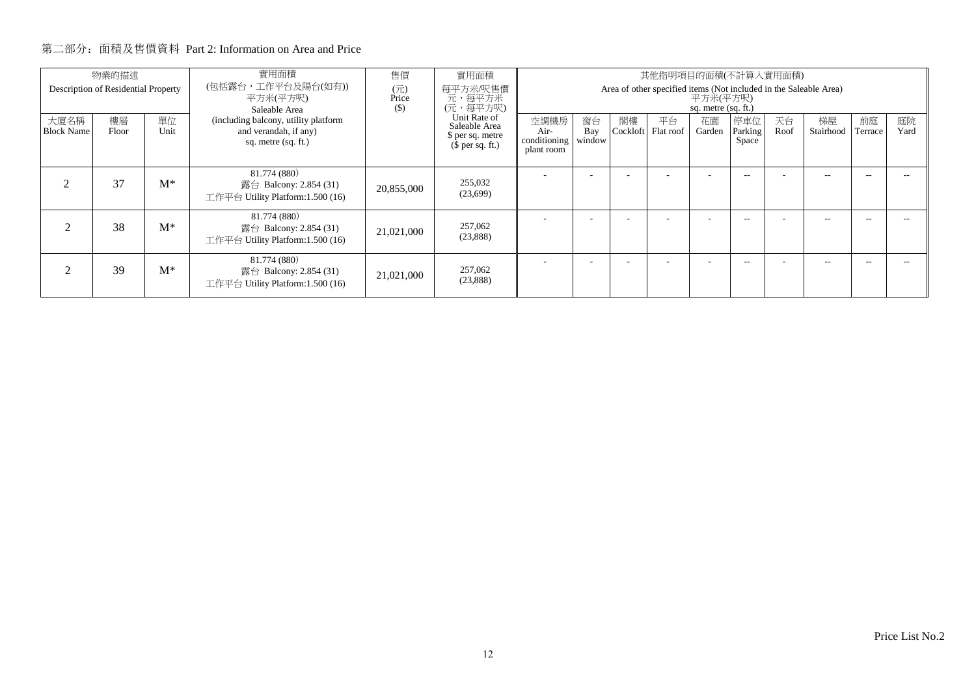| 物業的描述<br>Description of Residential Property |             |            | 實用面積<br>(包括露台,工作平台及陽台(如有))<br>平方米(平方呎)<br>Saleable Area                               | 售價<br>(元)<br>Price<br>$($)$ | 實用面積<br>每平方米/呎售價<br>一元, 每平方米<br>(元, 每平方呎)                             | 其他指明項目的面積(不計算入實用面積)<br>Area of other specified items (Not included in the Saleable Area)<br>平方米(平方呎)<br>sq. metre (sq. ft.) |                     |    |                          |              |                         |            |                 |               |            |
|----------------------------------------------|-------------|------------|---------------------------------------------------------------------------------------|-----------------------------|-----------------------------------------------------------------------|-----------------------------------------------------------------------------------------------------------------------------|---------------------|----|--------------------------|--------------|-------------------------|------------|-----------------|---------------|------------|
| 大廈名稱<br><b>Block Name</b>                    | 樓層<br>Floor | 單位<br>Unit | (including balcony, utility platform)<br>and verandah, if any)<br>sq. metre (sq. ft.) |                             | Unit Rate of<br>Saleable Area<br>\$ per sq. metre<br>$$$ per sq. ft.) | 空調機房<br>Air-<br>conditioning<br>plant room                                                                                  | 窗台<br>Bay<br>window | 閣樓 | 平台<br>Cockloft Flat roof | 花園<br>Garden | 停車位<br>Parking<br>Space | 天台<br>Roof | 梯屋<br>Stairhood | 前庭<br>Terrace | 庭院<br>Yard |
|                                              | 37          | $M^*$      | 81.774 (880)<br>露台 Balcony: 2.854 (31)<br>工作平台 Utility Platform:1.500 (16)            | 20,855,000                  | 255,032<br>(23,699)                                                   | <b>.</b>                                                                                                                    |                     |    |                          |              | --                      |            | $\sim$ $-$      | --            |            |
| $\mathcal{D}$                                | 38          | $M^*$      | 81.774 (880)<br>露台 Balcony: 2.854 (31)<br>工作平台 Utility Platform:1.500 (16)            | 21,021,000                  | 257,062<br>(23,888)                                                   |                                                                                                                             |                     |    |                          | ۰            | --                      |            | $\sim$ $-$      | --            |            |
| ာ                                            | 39          | $M^*$      | 81.774 (880)<br>露台 Balcony: 2.854 (31)<br>工作平台 Utility Platform:1.500 (16)            | 21,021,000                  | 257,062<br>(23,888)                                                   |                                                                                                                             |                     |    |                          |              | --                      |            | $\sim$ $-$      | --            |            |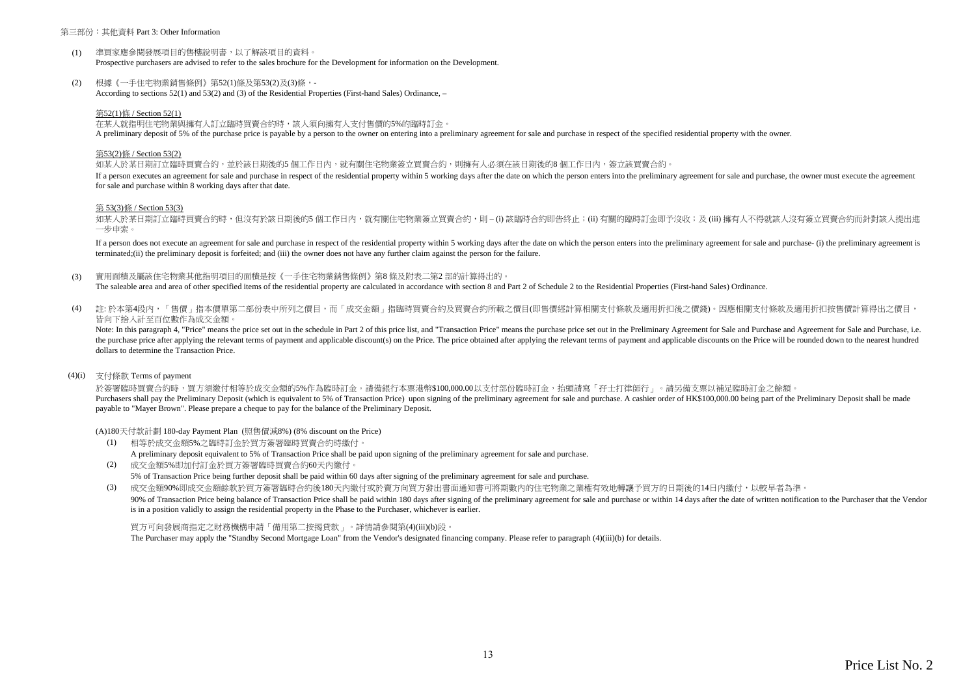#### 第三部份:其他資料 Part 3: Other Information

- $(1)$ 準買家應參閱發展項目的售樓說明書,以了解該項目的資料。 Prospective purchasers are advised to refer to the sales brochure for the Development for information on the Development.
- (2) 根據《一手住宅物業銷售條例》第52(1)條及第53(2)及(3)條,- According to sections 52(1) and 53(2) and (3) of the Residential Properties (First-hand Sales) Ordinance, –

#### 第52(1)條 / Section 52(1)

在某人就指明住宅物業與擁有人訂立臨時買賣合約時,該人須向擁有人支付售價的5%的臨時訂金。

A preliminary deposit of 5% of the purchase price is payable by a person to the owner on entering into a preliminary agreement for sale and purchase in respect of the specified residential property with the owner.

#### 第53(2)條 / Section 53(2)

如某人於某日期訂立臨時買賣合約,並於該日期後的5 個工作日內,就有關住宅物業簽立買賣合約,則擁有人必須在該日期後的8 個工作日内,簽立該買賣合約。

If a person executes an agreement for sale and purchase in respect of the residential property within 5 working days after the date on which the person enters into the preliminary agreement for sale and purchase, the owner for sale and purchase within 8 working days after that date.

#### 第 53(3)條 / Section 53(3)

如某人於某日期訂立臨時買賣合約時,但沒有於該日期後的5 個工作日内,就有關住宅物業簽立買賣合約,則 – (i) 該臨時合約即告終止;(ii) 有關的臨時訂金即予沒收;及 (iii) 擁有人不得就該人沒有簽立買賣合約而針對該人提出進 一步申索。

If a person does not execute an agreement for sale and purchase in respect of the residential property within 5 working days after the date on which the person enters into the preliminary agreement for sale and purchase- ( terminated;(ii) the preliminary deposit is forfeited; and (iii) the owner does not have any further claim against the person for the failure.

(3) 實用面積及屬該住宅物業其他指明項目的面積是按《一手住宅物業銷售條例》第8 條及附表二第2 部的計算得出的。

The saleable area and area of other specified items of the residential property are calculated in accordance with section 8 and Part 2 of Schedule 2 to the Residential Properties (First-hand Sales) Ordinance.

 $(4)$ 註:於本第4段內,「售價」指本價單第二部份表中所列之價目,而「成交金額」指臨時買賣合約及買賣合約所載之價目(即售價經計算相關支付條款及適用折扣後之價錢)。因應相關支付條款及適用折扣按售價計算得出之價目, 皆向下捨入計至百位數作為成交金額。

Note: In this paragraph 4, "Price" means the price set out in the schedule in Part 2 of this price list, and "Transaction Price" means the purchase price set out in the Preliminary Agreement for Sale and Purchase and Agree the purchase price after applying the relevant terms of payment and applicable discount(s) on the Price. The price obtained after applying the relevant terms of payment and applicable discounts on the Price will be rounded dollars to determine the Transaction Price.

#### (4)(i) 支付條款 Terms of payment

於簽署臨時買賣合約時,買方須繳付相等於成交金額的5%作為臨時訂金。請備銀行本票港幣\$100,000.00以支付部份臨時訂金,抬頭請寫「孖士打律師行」。請另備支票以補足臨時訂金之餘額。 Purchasers shall nay the Preliminary Deposit (which is equivalent to 5% of Transaction Price) upon signing of the preliminary agreement for sale and purchase. A cashier order of HK\$100,000,00 heing part of the Preliminary payable to "Mayer Brown". Please prepare a cheque to pay for the balance of the Preliminary Deposit.

(A)180天付款計劃 180-day Payment Plan (照售價減8%) (8% discount on the Price)

- (1) 相等於成交金額5%之臨時訂金於買方簽署臨時買賣合約時繳付。 A preliminary deposit equivalent to 5% of Transaction Price shall be paid upon signing of the preliminary agreement for sale and purchase.
- (2) 成交金額5%即加付訂金於買方簽署臨時買賣合約60天內繳付。 5% of Transaction Price being further deposit shall be paid within 60 days after signing of the preliminary agreement for sale and purchase.

(3) 成交金額90%即成交金額餘款於買方簽署臨時合約後180天內繳付或於賣方向買方發出書面通知書可將期數內的住宅物業之業權有效地轉讓予買方的日期後的14日內繳付,以較早者為準。 90% of Transaction Price being balance of Transaction Price shall be paid within 180 days after signing of the preliminary agreement for sale and purchase or within 14 days after the date of written notification to the Pur is in a position validly to assign the residential property in the Phase to the Purchaser, whichever is earlier.

買方可向發展商指定之財務機構申請「備用第二按揭貸款」。詳情請參閱第(4)(iii)(b)段。 The Purchaser may apply the "Standby Second Mortgage Loan" from the Vendor's designated financing company. Please refer to paragraph (4)(iii)(b) for details.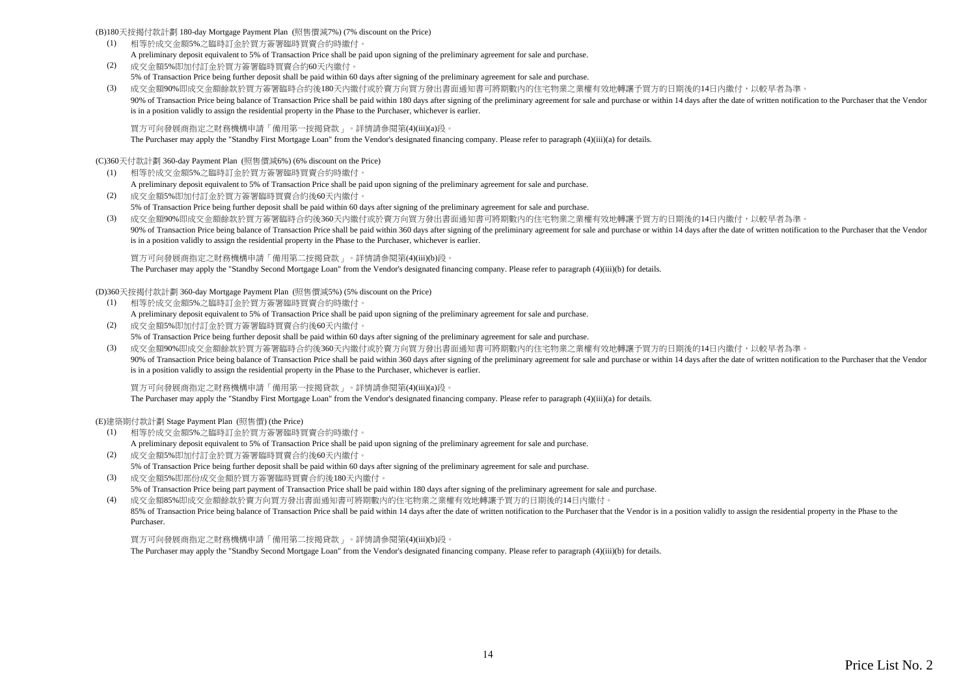(B)180天按揭付款計劃 180-day Mortgage Payment Plan (照售價減7%) (7% discount on the Price)

- (1) 相等於成交金額5%之臨時訂金於買方簽署臨時買賣合約時繳付。 A preliminary deposit equivalent to 5% of Transaction Price shall be paid upon signing of the preliminary agreement for sale and purchase.
- (2) 成交金額5%即加付訂金於買方簽署臨時買賣合約60天內繳付。 5% of Transaction Price being further deposit shall be paid within 60 days after signing of the preliminary agreement for sale and purchase.
- (3) 成交金額90%即成交金額餘款於買方簽署臨時合約後180天內繳付或於賣方向買方發出書面通知書可將期數內的住宅物業之業權有效地轉讓予買方的日期後的14日內繳付,以較早者為準。 90% of Transaction Price being balance of Transaction Price shall be paid within 180 days after signing of the preliminary agreement for sale and purchase or within 14 days after the date of written notification to the Pur is in a position validly to assign the residential property in the Phase to the Purchaser, whichever is earlier.

買方可向發展商指定之財務機構申請「備用第一按揭貸款」。詳情請參閱第(4)(iii)(a)段。

The Purchaser may apply the "Standby First Mortgage Loan" from the Vendor's designated financing company. Please refer to paragraph (4)(iii)(a) for details.

(C)360天付款計劃 360-day Payment Plan (照售價減6%) (6% discount on the Price)

- (1) 相等於成交金額5%之臨時訂金於買方簽署臨時買賣合約時繳付。 A preliminary deposit equivalent to 5% of Transaction Price shall be paid upon signing of the preliminary agreement for sale and purchase.
- (2) 成交金額5%即加付訂金於買方簽署臨時買賣合約後60天內繳付。 5% of Transaction Price being further deposit shall be paid within 60 days after signing of the preliminary agreement for sale and purchase.
- (3) 成交金額90%即成交金額餘款於買方簽署臨時合約後360天內繳付或於賣方向買方發出書面通知書可將期數內的住宅物業之業權有效地轉讓予買方的日期後的14日內繳付,以較早者為準。 90% of Transaction Price being balance of Transaction Price shall be paid within 360 days after signing of the preliminary agreement for sale and purchase or within 14 days after the date of written notification to the Pur is in a position validly to assign the residential property in the Phase to the Purchaser, whichever is earlier.

買方可向發展商指定之財務機構申請「備用第二按揭貸款」。詳情請參閱第(4)(iii)(b)段。

The Purchaser may apply the "Standby Second Mortgage Loan" from the Vendor's designated financing company. Please refer to paragraph (4)(iii)(b) for details.

(D)360天按揭付款計劃 360-day Mortgage Payment Plan (照售價減5%) (5% discount on the Price)

- (1) 相等於成交金額5%之臨時訂金於買方簽署臨時買賣合約時繳付。 A preliminary deposit equivalent to 5% of Transaction Price shall be paid upon signing of the preliminary agreement for sale and purchase.
- (2) 成交金額5%即加付訂金於買方簽署臨時買賣合約後60天內繳付。 5% of Transaction Price being further deposit shall be paid within 60 days after signing of the preliminary agreement for sale and purchase.
- (3) 成交金額90%即成交金額餘款於買方簽署臨時合約後360天內繳付或於賣方向買方發出書面通知書可將期數內的住宅物業之業權有效地轉讓予買方的日期後的14日內繳付,以較早者為準。 90% of Transaction Price being balance of Transaction Price shall be paid within 360 days after signing of the preliminary agreement for sale and purchase or within 14 days after the date of written notification to the Pur is in a position validly to assign the residential property in the Phase to the Purchaser, whichever is earlier.

買方可向發展商指定之財務機構申請「備用第一按揭貸款」。詳情請參閱第(4)(iii)(a)段。

The Purchaser may apply the "Standby First Mortgage Loan" from the Vendor's designated financing company. Please refer to paragraph (4)(iii)(a) for details.

(E)建築期付款計劃 Stage Payment Plan (照售價) (the Price)

- (1) 相等於成交金額5%之臨時訂金於買方簽署臨時買賣合約時繳付。 A preliminary deposit equivalent to 5% of Transaction Price shall be paid upon signing of the preliminary agreement for sale and purchase.
- (2) 成交金額5%即加付訂金於買方簽署臨時買賣合約後60天內繳付。 5% of Transaction Price being further deposit shall be paid within 60 days after signing of the preliminary agreement for sale and purchase. (3) 成交金額5%即部份成交金額於買方簽署臨時買賣合約後180天內繳付。
- 5% of Transaction Price being part payment of Transaction Price shall be paid within 180 days after signing of the preliminary agreement for sale and purchase.

(4) 成交金額85%即成交金額餘款於賣方向買方發出書面通知書可將期數內的住宅物業之業權有效地轉讓予買方的日期後的14日內繳付。 85% of Transaction Price being balance of Transaction Price shall be paid within 14 days after the date of written notification to the Purchaser that the Vendor is in a position validly to assign the residential property i Purchaser.

買方可向發展商指定之財務機構申請「備用第二按揭貸款」。詳情請參閱第(4)(iii)(b)段。

The Purchaser may apply the "Standby Second Mortgage Loan" from the Vendor's designated financing company. Please refer to paragraph (4)(iii)(b) for details.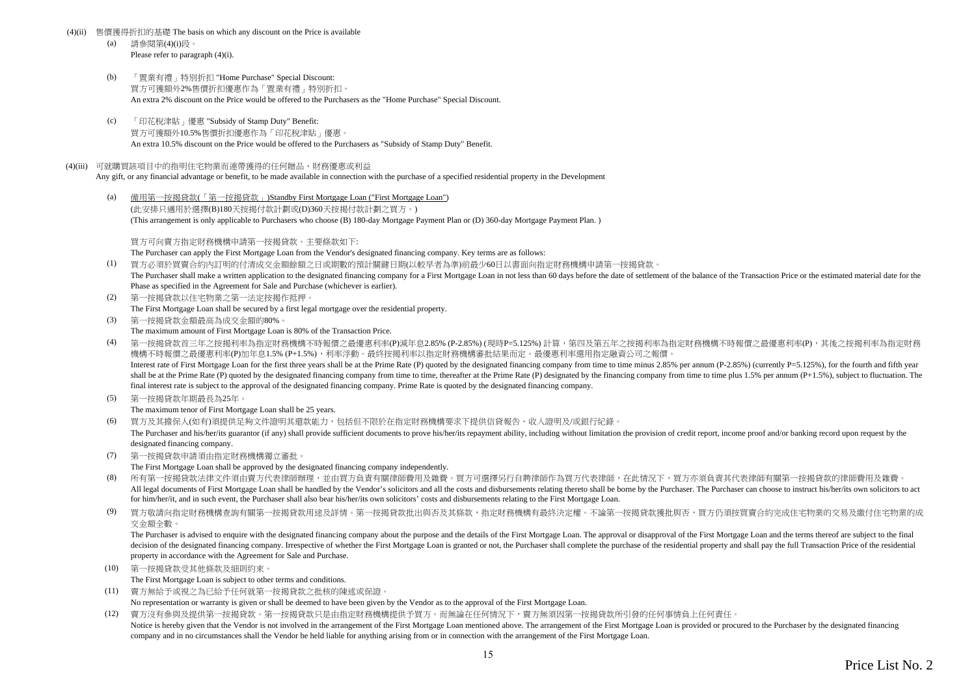#### (4)(ii) 售價獲得折扣的基礎 The basis on which any discount on the Price is available

- (a) 請參閱第(4)(i)段。 Please refer to paragraph (4)(i).
- (b) 「置業有禮」特別折扣 "Home Purchase" Special Discount: 買方可獲額外2%售價折扣優惠作為「置業有禮」特別折扣。 An extra 2% discount on the Price would be offered to the Purchasers as the "Home Purchase" Special Discount.
- (c) 「印花稅津貼」優惠 "Subsidy of Stamp Duty" Benefit: 買方可獲額外10.5%售價折扣優惠作為「印花稅津貼」優惠。 An extra 10.5% discount on the Price would be offered to the Purchasers as "Subsidy of Stamp Duty" Benefit.

#### (4)(iii) 可就購買該項目中的指明住宅物業而連帶獲得的任何贈品、財務優惠或利益

Any gift, or any financial advantage or benefit, to be made available in connection with the purchase of a specified residential property in the Development

(a) 備用第一按揭貸款(「第一按揭貸款」)Standby First Mortgage Loan ("First Mortgage Loan") (此安排只適用於選擇(B)180天按揭付款計劃或(D)360天按揭付款計劃之買方。) (This arrangement is only applicable to Purchasers who choose (B) 180-day Mortgage Payment Plan or (D) 360-day Mortgage Payment Plan. )

買方可向賣方指定財務機構申請第一按揭貸款。主要條款如下:

The Purchaser can apply the First Mortgage Loan from the Vendor's designated financing company. Key terms are as follows:

- (1) 買方必須於買賣合約內訂明的付清成交金額餘額之日或期數的預計關鍵日期(以較早者為準)前最少60日以書面向指定財務機構申請第一按揭貸款。 The Purchaser shall make a written application to the designated financing company for a First Mortgage Loan in not less than 60 days before the date of settlement of the balance of the Transaction Price or the estimated m Phase as specified in the Agreement for Sale and Purchase (whichever is earlier).
- (2) 第一按揭貸款以住宅物業之第一法定按揭作抵押。 The First Mortgage Loan shall be secured by a first legal mortgage over the residential property.
- (3) 第一按揭貸款金額最高為成交金額的80%。 The maximum amount of First Mortgage Loan is 80% of the Transaction Price.
- (4) 第一按揭貸款首三年之按揭利率為指定財務機構不時報價之最優惠利率(P)減年息2.85% (P-2.85%) (現時P=5.125%) 計算,第四及第五年之按揭利率為指定財務機構不時報價之最優惠利率(P),其後之按揭利率為指定財務 機構不時報價之最優惠利率(P)加年息1.5% (P+1.5%),利率浮動。最終按揭利率以指定財務機構審批結果而定。最優惠利率選用指定融資公司之報價。 Interest rate of First Mortgage Loan for the first three years shall be at the Prime Rate (P) quoted by the designated financing company from time to time minus 2.85% per annum (P-2.85%) (currently P=5.125%), for the fourt shall be at the Prime Rate (P) quoted by the designated financing company from time to time, thereafter at the Prime Rate (P) designated by the financing company from time to time plus 1.5% per annum (P+1.5%), subject to f final interest rate is subject to the approval of the designated financing company. Prime Rate is quoted by the designated financing company.
- (5) 第一按揭貸款年期最長為25年。

The maximum tenor of First Mortgage Loan shall be 25 years.

(6) 買方及其擔保人(如有)須提供足夠文件證明其還款能力,包括但不限於在指定財務機構要求下提供信貸報告、收入證明及/或銀行紀錄。

The Purchaser and his/her/its guarantor (if any) shall provide sufficient documents to prove his/her/its repayment ability, including without limitation the provision of credit report, income proof and/or banking record up designated financing company.

(7) 第一按揭貸款申請須由指定財務機構獨立審批。

The First Mortgage Loan shall be approved by the designated financing company independently.

- (8) 所有第一按揭貸款法律文件須由賣方代表律師辦理,並由買方負責有關律師費用及雜費。買方可選擇另行自聘律師作為買方代表律師,在此情況下,買方亦須負責其代表律師有關第一按揭貸款的律師費用及雜費。 All legal documents of First Mortgage Loan shall be handled by the Vendor's solicitors and all the costs and disbursements relating thereto shall be borne by the Purchaser. The Purchaser can choose to instruct his/her/its for him/her/it, and in such event, the Purchaser shall also bear his/her/its own solicitors' costs and disbursements relating to the First Mortgage Loan.
- (9) 買方敬請向指定財務機構查詢有關第一按揭貸款用途及詳情。第一按揭貸款批出與否及其條款,指定財務機構有最終決定權。不論第一按揭貸款獲批與否,買方仍須按買賣合約完成住宅物業的交易及繳付住宅物業的成 交金額全數。

The Purchaser is advised to enquire with the designated financing company about the purpose and the details of the First Mortgage Loan. The approval or disapproval of the First Mortgage Loan and the terms thereof are subje decision of the designated financing company. Irrespective of whether the First Mortgage Loan is granted or not, the Purchaser shall complete the purchase of the residential property and shall pay the full Transaction Pric property in accordance with the Agreement for Sale and Purchase.

(10) 第一按揭貸款受其他條款及細則約束。

The First Mortgage Loan is subject to other terms and conditions.

- (11) 賣方無給予或視之為已給予任何就第一按揭貸款之批核的陳述或保證。
	- No representation or warranty is given or shall be deemed to have been given by the Vendor as to the approval of the First Mortgage Loan.
- (12) 賣方沒有參與及提供第一按揭貸款。第一按揭貸款只是由指定財務機構提供予買方。而無論在任何情況下,賣方無須因第一按揭貸款所引發的任何事情負上任何責任。 Notice is hereby given that the Vendor is not involved in the arrangement of the First Mortgage Loan mentioned above. The arrangement of the First Mortgage Loan is provided or procured to the Purchaser by the designated fi company and in no circumstances shall the Vendor be held liable for anything arising from or in connection with the arrangement of the First Mortgage Loan.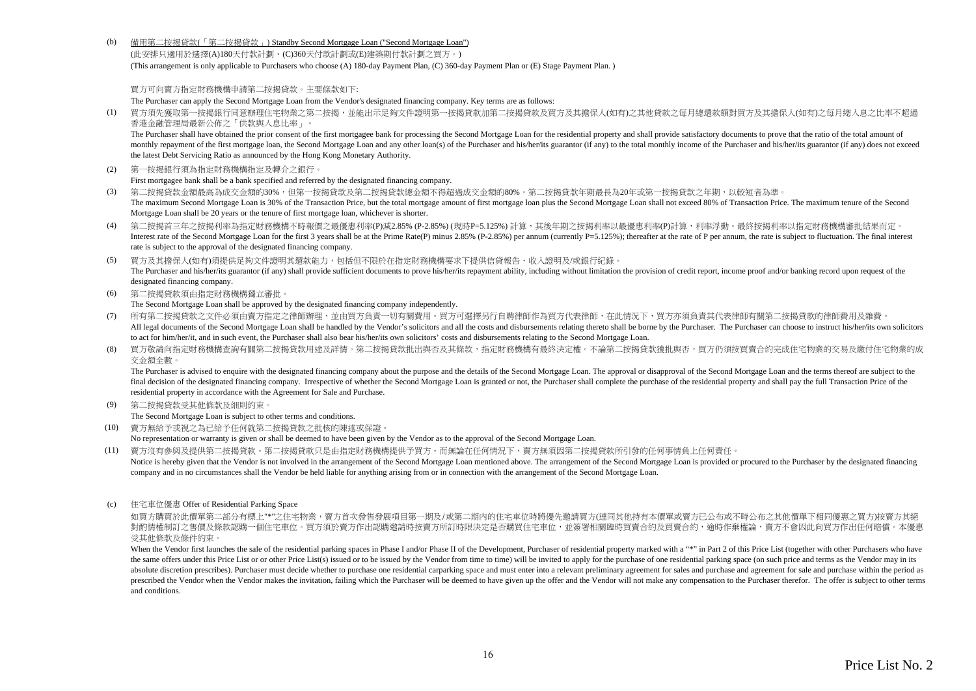(b) 備用第二按揭貸款(「第二按揭貸款」) Standby Second Mortgage Loan ("Second Mortgage Loan")

(此安排只適用於選擇(A)180天付款計劃、(C)360天付款計劃或(E)建築期付款計劃之買方。) (This arrangement is only applicable to Purchasers who choose (A) 180-day Payment Plan, (C) 360-day Payment Plan or (E) Stage Payment Plan. )

買方可向賣方指定財務機構申請第二按揭貸款。主要條款如下:

The Purchaser can apply the Second Mortgage Loan from the Vendor's designated financing company. Key terms are as follows:

(1) 買方須先獲取第一按揭銀行同意辦理住宅物業之第二按揭,並能出示足夠文件證明第一按揭貸款加第二按揭貸款及買方及其擔保人(如有)之其他貸款之每月總還款額對買方及其擔保人(如有)之每月總入息之比率不超過 香港金融管理局最新公佈之「供款與入息比率」。

The Purchaser shall have obtained the prior consent of the first mortgagee bank for processing the Second Mortgage Loan for the residential property and shall provide satisfactory documents to prove that the ratio of the t monthly repayment of the first mortgage loan, the Second Mortgage Loan and any other loan(s) of the Purchaser and his/her/its guarantor (if any) to the total monthly income of the Purchaser and his/her/its guarantor (if an the latest Debt Servicing Ratio as announced by the Hong Kong Monetary Authority.

(2) 第一按揭銀行須為指定財務機構指定及轉介之銀行。

First mortgagee bank shall be a bank specified and referred by the designated financing company.

- (3) 第二按揭貸款金額最高為成交金額的30%,但第一按揭貸款及第二按揭貸款總金額不得超過成交金額的80%。第二按揭貸款年期最長為20年或第一按揭貸款之年期,以較短者為準。 The maximum Second Mortgage Loan is 30% of the Transaction Price, but the total mortgage amount of first mortgage loan plus the Second Mortgage Loan shall not exceed 80% of Transaction Price. The maximum tenure of the Seco Mortgage Loan shall be 20 years or the tenure of first mortgage loan, whichever is shorter.
- (4) 第二按揭首三年之按揭利率為指定財務機構不時報價之最優惠利率(P)減2.85% (P-2.85%) (現時P=5.125%) 計算,其後年期之按揭利率以最優惠利率(P)計算,利率浮動。最終按揭利率以指定財務機構審批結果而定。 Interest rate of the Second Mortgage Loan for the first 3 years shall be at the Prime Rate(P) minus 2.85% (P-2.85%) per annum (currently P=5.125%); thereafter at the rate of P per annum, the rate is subject to fluctuation. rate is subject to the approval of the designated financing company.
- (5) 買方及其擔保人(如有)須提供足夠文件證明其還款能力,包括但不限於在指定財務機構要求下提供信貸報告、收入證明及/或銀行紀錄。 The Purchaser and his/her/its guarantor (if any) shall provide sufficient documents to prove his/her/its repayment ability, including without limitation the provision of credit report, income proof and/or banking record up designated financing company.
- (6) 第二按揭貸款須由指定財務機構獨立審批。

The Second Mortgage Loan shall be approved by the designated financing company independently.

- (7) 所有第二按揭貸款之文件必須由賣方指定之律師辦理,並由買方負責一切有關費用。買方可選擇另行自聘律師作為買方代表律師,在此情況下,買方亦須負責其代表律師有關第二按揭貸款的律師費用及雜費。 All legal documents of the Second Mortgage Loan shall be handled by the Vendor's solicitors and all the costs and disbursements relating thereto shall be borne by the Purchaser. The Purchaser can choose to instruct his/her to act for him/her/it, and in such event, the Purchaser shall also bear his/her/its own solicitors' costs and disbursements relating to the Second Mortgage Loan.
- (8) 買方敬請向指定財務機構查詢有關第二按揭貸款用途及詳情。第二按揭貸款批出與否及其條款,指定財務機構有最終決定權。不論第二按揭貸款獲批與否,買方仍須按買賣合約完成住宅物業的交易及繳付住宅物業的成 交金額全數。

The Purchaser is advised to enquire with the designated financing company about the purpose and the details of the Second Mortgage Loan. The approval or disapproval of the Second Mortgage Loan and the terms thereof are sub final decision of the designated financing company. Irrespective of whether the Second Mortgage Loan is granted or not, the Purchaser shall complete the purchase of the residential property and shall pay the full Transacti residential property in accordance with the Agreement for Sale and Purchase.

(9) 第二按揭貸款受其他條款及細則約束。

The Second Mortgage Loan is subject to other terms and conditions.

(10) 賣方無給予或視之為已給予任何就第二按揭貸款之批核的陳述或保證。

No representation or warranty is given or shall be deemed to have been given by the Vendor as to the approval of the Second Mortgage Loan.

- (11) 賣方沒有參與及提供第二按揭貸款。第二按揭貸款只是由指定財務機構提供予買方。而無論在任何情況下,賣方無須因第二按揭貸款所引發的任何事情負上任何責任。
- Notice is hereby given that the Vendor is not involved in the arrangement of the Second Mortgage Loan mentioned above. The arrangement of the Second Mortgage Loan is provided or procured to the Purchaser by the designated company and in no circumstances shall the Vendor be held liable for anything arising from or in connection with the arrangement of the Second Mortgage Loan.
- (c) 住宅車位優惠 Offer of Residential Parking Space

如買方購買於此價單第二部分有標上"\*"之住宅物業,賣方首次發售發展項目第一期及/或第二期內的住宅車位時將優先激請買方(連同其他持有本價單或賣方已公布或不時公布之其他價單下相同優惠之買方)按賣方其絕 對酌情權制訂之售價及條款認購一個住宅車位。買方須於賣方作出認購邀請時按賣方所訂時限決定是否購買住宅車位,並簽署相關臨時買賣合約及買賣合約,逾時作棄權論,賣方不會因此向買方作出任何賠償。本優惠 受其他條款及條件約束。

When the Vendor first launches the sale of the residential parking spaces in Phase I and/or Phase II of the Development, Purchaser of residential property marked with a "\*" in Part 2 of this Price List (together with other the same offers under this Price List or or other Price List(s) issued or to be issued by the Vendor from time to time) will be invited to apply for the purchase of one residential parking space (on such price and terms as absolute discretion prescribes). Purchaser must decide whether to purchase one residential carparking space and must enter into a relevant preliminary agreement for sales and purchase and agreement for sale and purchase wi prescribed the Vendor when the Vendor makes the invitation failing which the Purchaser will be deemed to have given un the offer and the Vendor will not make any compensation to the Purchaser therefor. The offer is subject and conditions.